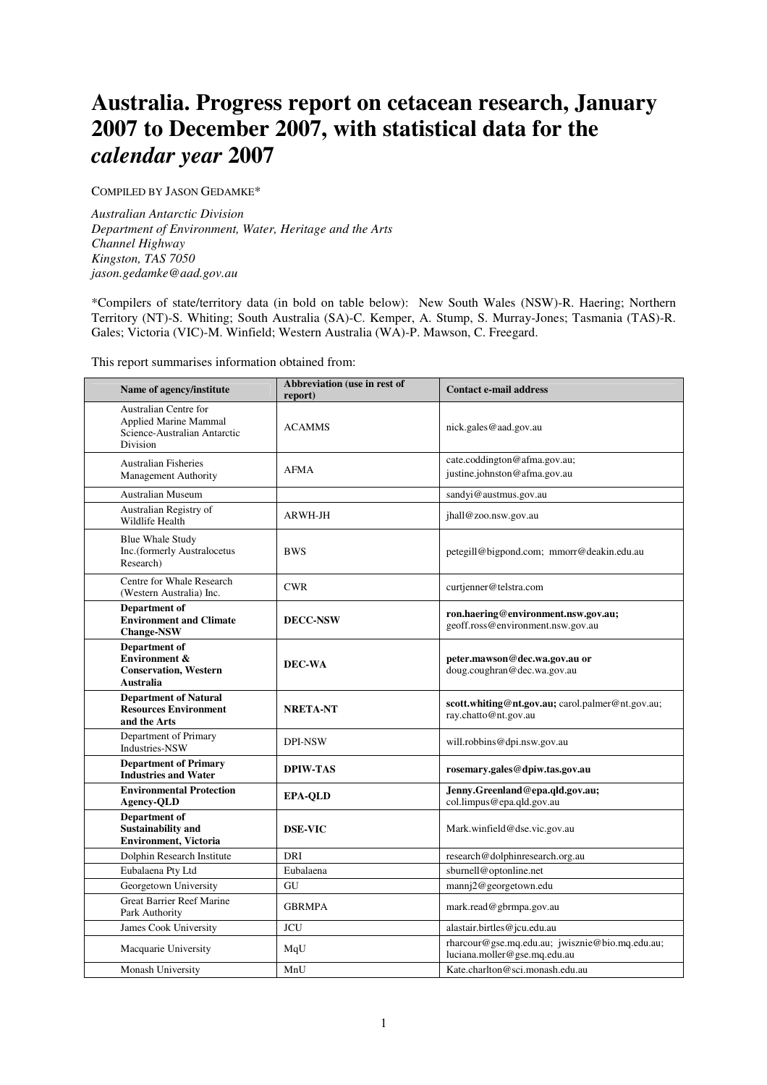# **Australia. Progress report on cetacean research, January 2007 to December 2007, with statistical data for the**  *calendar year* **2007**

COMPILED BY JASON GEDAMKE\*

*Australian Antarctic Division Department of Environment, Water, Heritage and the Arts Channel Highway Kingston, TAS 7050 jason.gedamke@aad.gov.au* 

\*Compilers of state/territory data (in bold on table below): New South Wales (NSW)-R. Haering; Northern Territory (NT)-S. Whiting; South Australia (SA)-C. Kemper, A. Stump, S. Murray-Jones; Tasmania (TAS)-R. Gales; Victoria (VIC)-M. Winfield; Western Australia (WA)-P. Mawson, C. Freegard.

This report summarises information obtained from:

| Name of agency/institute                                                                                        | Abbreviation (use in rest of<br>report) | <b>Contact e-mail address</b>                                                   |
|-----------------------------------------------------------------------------------------------------------------|-----------------------------------------|---------------------------------------------------------------------------------|
| <b>Australian Centre for</b><br><b>Applied Marine Mammal</b><br>Science-Australian Antarctic<br><b>Division</b> | <b>ACAMMS</b>                           | nick.gales@aad.gov.au                                                           |
| <b>Australian Fisheries</b><br><b>Management Authority</b>                                                      | <b>AFMA</b>                             | cate.coddington@afma.gov.au;<br>justine.johnston@afma.gov.au                    |
| <b>Australian Museum</b>                                                                                        |                                         | sandyi@austmus.gov.au                                                           |
| Australian Registry of<br>Wildlife Health                                                                       | ARWH-JH                                 | jhall@zoo.nsw.gov.au                                                            |
| <b>Blue Whale Study</b><br>Inc.(formerly Australocetus<br>Research)                                             | <b>BWS</b>                              | petegill@bigpond.com; mmorr@deakin.edu.au                                       |
| Centre for Whale Research<br>(Western Australia) Inc.                                                           | <b>CWR</b>                              | curtjenner@telstra.com                                                          |
| Department of<br><b>Environment and Climate</b><br><b>Change-NSW</b>                                            | <b>DECC-NSW</b>                         | ron.haering@environment.nsw.gov.au;<br>geoff.ross@environment.nsw.gov.au        |
| Department of<br><b>Environment &amp;</b><br><b>Conservation, Western</b><br>Australia                          | DEC-WA                                  | peter.mawson@dec.wa.gov.au or<br>doug.coughran@dec.wa.gov.au                    |
| <b>Department of Natural</b><br><b>Resources Environment</b><br>and the Arts                                    | <b>NRETA-NT</b>                         | scott.whiting@nt.gov.au; carol.palmer@nt.gov.au;<br>ray.chatto@nt.gov.au        |
| Department of Primary<br>Industries-NSW                                                                         | <b>DPI-NSW</b>                          | will.robbins@dpi.nsw.gov.au                                                     |
| Department of Primary<br><b>Industries and Water</b>                                                            | <b>DPIW-TAS</b>                         | rosemary.gales@dpiw.tas.gov.au                                                  |
| <b>Environmental Protection</b><br><b>Agency-QLD</b>                                                            | <b>EPA-QLD</b>                          | Jenny.Greenland@epa.qld.gov.au;<br>col.limpus@epa.qld.gov.au                    |
| Department of<br><b>Sustainability and</b><br><b>Environment</b> , Victoria                                     | <b>DSE-VIC</b>                          | Mark.winfield@dse.vic.gov.au                                                    |
| Dolphin Research Institute                                                                                      | <b>DRI</b>                              | research@dolphinresearch.org.au                                                 |
| Eubalaena Pty Ltd                                                                                               | Eubalaena                               | sburnell@optonline.net                                                          |
| Georgetown University                                                                                           | GU                                      | mannj2@georgetown.edu                                                           |
| Great Barrier Reef Marine<br>Park Authority                                                                     | <b>GBRMPA</b>                           | mark.read@gbrmpa.gov.au                                                         |
| James Cook University                                                                                           | <b>JCU</b>                              | alastair.birtles@jcu.edu.au                                                     |
| Macquarie University                                                                                            | MqU                                     | rharcour@gse.mq.edu.au; jwisznie@bio.mq.edu.au;<br>luciana.moller@gse.mq.edu.au |
| Monash University                                                                                               | MnU                                     | Kate.charlton@sci.monash.edu.au                                                 |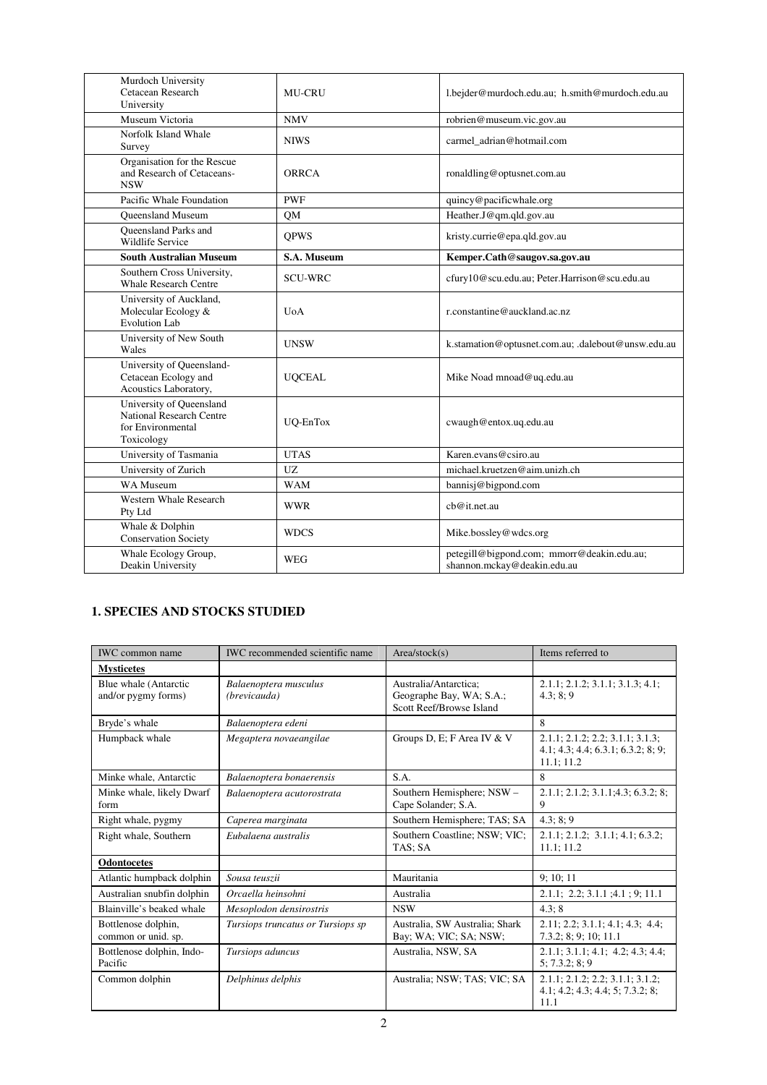| Murdoch University<br>Cetacean Research<br>University                                          | <b>MU-CRU</b>    | l.bejder@murdoch.edu.au; h.smith@murdoch.edu.au                           |
|------------------------------------------------------------------------------------------------|------------------|---------------------------------------------------------------------------|
| Museum Victoria                                                                                | <b>NMV</b>       | robrien@museum.vic.gov.au                                                 |
| Norfolk Island Whale<br>Survey                                                                 | <b>NIWS</b>      | carmel adrian@hotmail.com                                                 |
| Organisation for the Rescue<br>and Research of Cetaceans-<br><b>NSW</b>                        | ORRCA            | ronaldling@optusnet.com.au                                                |
| Pacific Whale Foundation                                                                       | <b>PWF</b>       | quincy@pacificwhale.org                                                   |
| <b>Oueensland Museum</b>                                                                       | QM               | Heather.J@qm.qld.gov.au                                                   |
| <b>Oueensland Parks and</b><br><b>Wildlife Service</b>                                         | <b>OPWS</b>      | kristy.currie@epa.qld.gov.au                                              |
| <b>South Australian Museum</b>                                                                 | S.A. Museum      | Kemper.Cath@saugov.sa.gov.au                                              |
| Southern Cross University,<br><b>Whale Research Centre</b>                                     | <b>SCU-WRC</b>   | cfury10@scu.edu.au; Peter.Harrison@scu.edu.au                             |
| University of Auckland,<br>Molecular Ecology &<br><b>Evolution Lab</b>                         | U <sub>0</sub> A | r.constantine@auckland.ac.nz                                              |
| University of New South<br>Wales                                                               | <b>UNSW</b>      | k.stamation@optusnet.com.au; .dalebout@unsw.edu.au                        |
| University of Queensland-<br>Cetacean Ecology and<br>Acoustics Laboratory,                     | <b>UQCEAL</b>    | Mike Noad mnoad@uq.edu.au                                                 |
| University of Queensland<br><b>National Research Centre</b><br>for Environmental<br>Toxicology | UQ-EnTox         | cwaugh@entox.uq.edu.au                                                    |
| University of Tasmania                                                                         | <b>UTAS</b>      | Karen.evans@csiro.au                                                      |
| University of Zurich                                                                           | UZ.              | michael.kruetzen@aim.unizh.ch                                             |
| WA Museum                                                                                      | <b>WAM</b>       | bannisj@bigpond.com                                                       |
| <b>Western Whale Research</b><br>Pty Ltd                                                       | <b>WWR</b>       | ch@it.net.au                                                              |
| Whale & Dolphin<br><b>Conservation Society</b>                                                 | <b>WDCS</b>      | Mike.bossley@wdcs.org                                                     |
| Whale Ecology Group,<br>Deakin University                                                      | WEG              | petegill@bigpond.com; mmorr@deakin.edu.au;<br>shannon.mckay@deakin.edu.au |

# **1. SPECIES AND STOCKS STUDIED**

| <b>IWC</b> common name                       | <b>IWC</b> recommended scientific name | Area/stock(s)                                                                 | Items referred to                                                                    |
|----------------------------------------------|----------------------------------------|-------------------------------------------------------------------------------|--------------------------------------------------------------------------------------|
| <b>Mysticetes</b>                            |                                        |                                                                               |                                                                                      |
| Blue whale (Antarctic<br>and/or pygmy forms) | Balaenoptera musculus<br>(brevicauda)  | Australia/Antarctica:<br>Geographe Bay, WA; S.A.;<br>Scott Reef/Browse Island | 2.1.1; 2.1.2; 3.1.1; 3.1.3; 4.1;<br>4.3:8:9                                          |
| Bryde's whale                                | Balaenoptera edeni                     |                                                                               | 8                                                                                    |
| Humpback whale                               | Megaptera novaeangilae                 | Groups D, E; F Area IV & V                                                    | 2.1.1; 2.1.2; 2.2; 3.1.1; 3.1.3;<br>4.1; 4.3; 4.4; 6.3.1; 6.3.2; 8; 9;<br>11.1; 11.2 |
| Minke whale, Antarctic                       | Balaenoptera bonaerensis               | S.A.                                                                          | 8                                                                                    |
| Minke whale, likely Dwarf<br>form            | Balaenoptera acutorostrata             | Southern Hemisphere; NSW -<br>Cape Solander; S.A.                             | 2.1.1; 2.1.2; 3.1.1; 4.3; 6.3.2; 8;<br>9                                             |
| Right whale, pygmy                           | Caperea marginata                      | Southern Hemisphere; TAS; SA                                                  | 4.3; 8; 9                                                                            |
| Right whale, Southern                        | Eubalaena australis                    | Southern Coastline; NSW; VIC;<br>TAS: SA                                      | 2.1.1; 2.1.2; 3.1.1; 4.1; 6.3.2;<br>11.1; 11.2                                       |
| <b>Odontocetes</b>                           |                                        |                                                                               |                                                                                      |
| Atlantic humpback dolphin                    | Sousa teuszii                          | Mauritania                                                                    | 9; 10; 11                                                                            |
| Australian snubfin dolphin                   | Orcaella heinsohni                     | Australia                                                                     | $2.1.1$ ; $2.2$ ; $3.1.1$ ; $4.1$ ; $9$ ; $11.1$                                     |
| Blainville's beaked whale                    | Mesoplodon densirostris                | <b>NSW</b>                                                                    | 4.3:8                                                                                |
| Bottlenose dolphin,<br>common or unid. sp.   | Tursiops truncatus or Tursiops sp      | Australia, SW Australia; Shark<br>Bay; WA; VIC; SA; NSW;                      | 2.11; 2.2; 3.1.1; 4.1; 4.3; 4.4;<br>7.3.2; 8; 9; 10; 11.1                            |
| Bottlenose dolphin, Indo-<br>Pacific         | Tursiops aduncus                       | Australia, NSW, SA                                                            | 2.1.1; 3.1.1; 4.1; 4.2; 4.3; 4.4;<br>5: 7.3.2: 8: 9                                  |
| Common dolphin                               | Delphinus delphis                      | Australia; NSW; TAS; VIC; SA                                                  | 2.1.1; 2.1.2; 2.2; 3.1.1; 3.1.2;<br>4.1; 4.2; 4.3; 4.4; 5; 7.3.2; 8;<br>11.1         |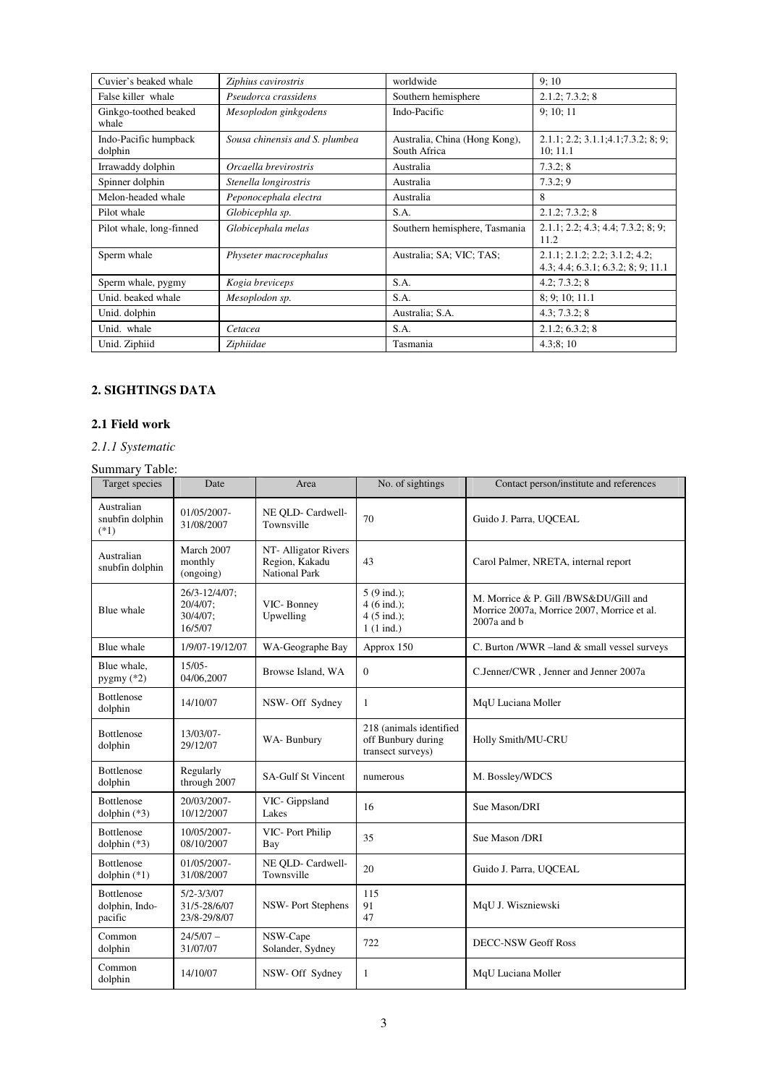| Cuvier's beaked whale            | Ziphius cavirostris            | worldwide                                     | 9:10                                                                 |
|----------------------------------|--------------------------------|-----------------------------------------------|----------------------------------------------------------------------|
| False killer whale               | Pseudorca crassidens           | Southern hemisphere                           | 2.1.2; 7.3.2; 8                                                      |
| Ginkgo-toothed beaked<br>whale   | Mesoplodon ginkgodens          | Indo-Pacific                                  | 9:10:11                                                              |
| Indo-Pacific humpback<br>dolphin | Sousa chinensis and S. plumbea | Australia, China (Hong Kong),<br>South Africa | 2.1.1; 2.2; 3.1.1; 4.1; 7.3.2; 8; 9;<br>10:11.1                      |
| Irrawaddy dolphin                | Orcaella brevirostris          | Australia                                     | 7.3.2; 8                                                             |
| Spinner dolphin                  | Stenella longirostris          | Australia                                     | 7.3.2; 9                                                             |
| Melon-headed whale               | Peponocephala electra          | Australia                                     | 8                                                                    |
| Pilot whale                      | Globicephla sp.                | S.A.                                          | 2.1.2; 7.3.2; 8                                                      |
| Pilot whale, long-finned         | Globicephala melas             | Southern hemisphere, Tasmania                 | 2.1.1; 2.2; 4.3; 4.4; 7.3.2; 8; 9;<br>11.2                           |
| Sperm whale                      | Physeter macrocephalus         | Australia; SA; VIC; TAS;                      | 2.1.1; 2.1.2; 2.2; 3.1.2; 4.2;<br>4.3; 4.4; 6.3.1; 6.3.2; 8; 9; 11.1 |
| Sperm whale, pygmy               | Kogia breviceps                | S.A.                                          | 4.2; 7.3.2; 8                                                        |
| Unid. beaked whale               | Mesoplodon sp.                 | S.A.                                          | 8; 9; 10; 11.1                                                       |
| Unid. dolphin                    |                                | Australia; S.A.                               | 4.3; 7.3.2; 8                                                        |
| Unid. whale                      | Cetacea                        | S.A.                                          | 2.1.2; 6.3.2; 8                                                      |
| Unid. Ziphiid                    | Ziphiidae                      | Tasmania                                      | 4.3;8;10                                                             |

# **2. SIGHTINGS DATA**

# **2.1 Field work**

# *2.1.1 Systematic*

# Summary Table:

| Target species                                 | Date                                             | Area                                                           | No. of sightings                                                                       | Contact person/institute and references                                                               |
|------------------------------------------------|--------------------------------------------------|----------------------------------------------------------------|----------------------------------------------------------------------------------------|-------------------------------------------------------------------------------------------------------|
| Australian<br>snubfin dolphin<br>$(*1)$        | 01/05/2007-<br>31/08/2007                        | NE OLD- Cardwell-<br>Townsville                                | 70                                                                                     | Guido J. Parra, UOCEAL                                                                                |
| Australian<br>snubfin dolphin                  | March 2007<br>monthly<br>(ongoing)               | NT- Alligator Rivers<br>Region, Kakadu<br><b>National Park</b> | 43                                                                                     | Carol Palmer, NRETA, internal report                                                                  |
| Blue whale                                     | 26/3-12/4/07;<br>20/4/07;<br>30/4/07;<br>16/5/07 | VIC-Bonney<br>Upwelling                                        | $5(9 \text{ ind.})$ ;<br>$4(6 \text{ ind.})$ ;<br>$4(5 \text{ ind.})$ ;<br>$1(1$ ind.) | M. Morrice & P. Gill /BWS&DU/Gill and<br>Morrice 2007a, Morrice 2007, Morrice et al.<br>$2007a$ and b |
| Blue whale                                     | 1/9/07-19/12/07                                  | WA-Geographe Bay                                               | Approx 150                                                                             | C. Burton /WWR -land & small vessel surveys                                                           |
| Blue whale.<br>pygmy (*2)                      | $15/05 -$<br>04/06,2007                          | Browse Island, WA                                              | $\Omega$                                                                               | C.Jenner/CWR, Jenner and Jenner 2007a                                                                 |
| <b>Bottlenose</b><br>dolphin                   | 14/10/07                                         | NSW- Off Sydney                                                | 1                                                                                      | MqU Luciana Moller                                                                                    |
| <b>Bottlenose</b><br>dolphin                   | 13/03/07-<br>29/12/07                            | WA-Bunbury                                                     | 218 (animals identified<br>off Bunbury during<br>transect surveys)                     | Holly Smith/MU-CRU                                                                                    |
| <b>Bottlenose</b><br>dolphin                   | Regularly<br>through 2007                        | <b>SA-Gulf St Vincent</b>                                      | numerous                                                                               | M. Bossley/WDCS                                                                                       |
| <b>Bottlenose</b><br>dolphin $(*3)$            | 20/03/2007-<br>10/12/2007                        | VIC- Gippsland<br>Lakes                                        | 16                                                                                     | Sue Mason/DRI                                                                                         |
| <b>Bottlenose</b><br>dolphin $(*3)$            | 10/05/2007-<br>08/10/2007                        | VIC- Port Philip<br>Bay                                        | 35                                                                                     | Sue Mason /DRI                                                                                        |
| <b>Bottlenose</b><br>dolphin $(*1)$            | 01/05/2007-<br>31/08/2007                        | NE QLD- Cardwell-<br>Townsville                                | 20                                                                                     | Guido J. Parra, UQCEAL                                                                                |
| <b>Bottlenose</b><br>dolphin, Indo-<br>pacific | $5/2 - 3/3/07$<br>31/5-28/6/07<br>23/8-29/8/07   | NSW-Port Stephens                                              | 115<br>91<br>47                                                                        | MqU J. Wiszniewski                                                                                    |
| Common<br>dolphin                              | $24/5/07 -$<br>31/07/07                          | NSW-Cape<br>Solander, Sydney                                   | 722                                                                                    | <b>DECC-NSW Geoff Ross</b>                                                                            |
| Common<br>dolphin                              | 14/10/07                                         | NSW- Off Sydney                                                | $\mathbf{1}$                                                                           | MqU Luciana Moller                                                                                    |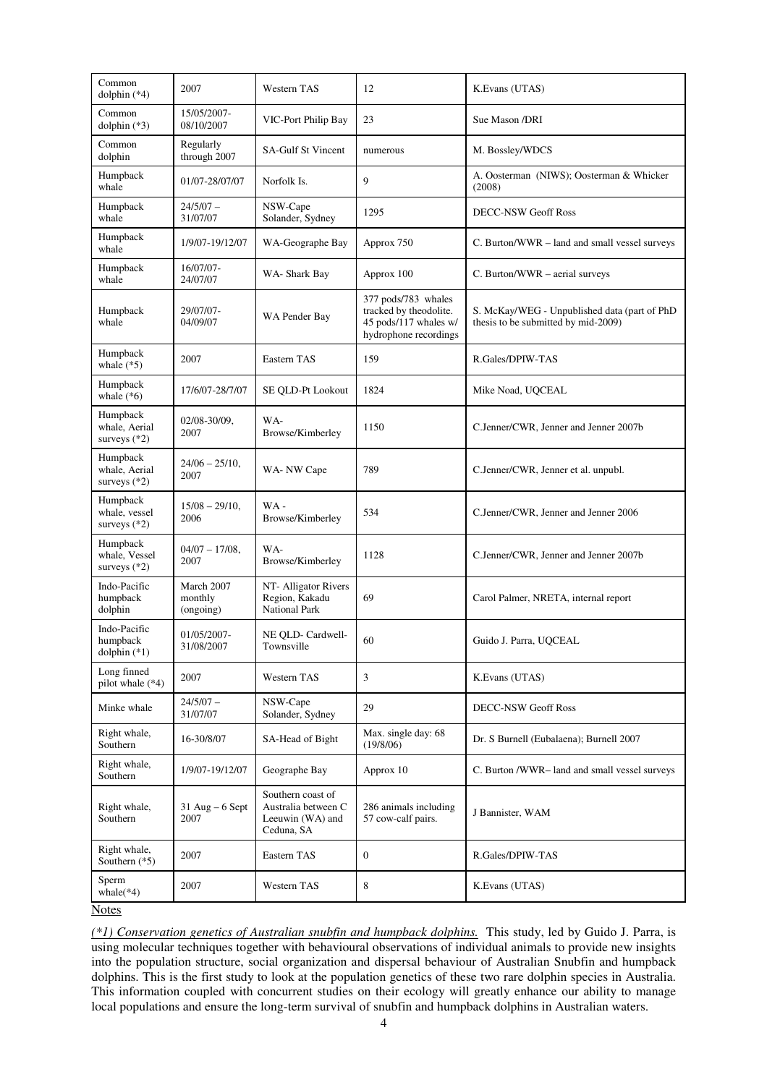| Common<br>dolphin $(*4)$                    | 2007                               | Western TAS                                                                | 12                                                                                              | K.Evans (UTAS)                                                                      |
|---------------------------------------------|------------------------------------|----------------------------------------------------------------------------|-------------------------------------------------------------------------------------------------|-------------------------------------------------------------------------------------|
| Common<br>dolphin $(*3)$                    | 15/05/2007-<br>08/10/2007          | VIC-Port Philip Bay                                                        | 23                                                                                              | Sue Mason /DRI                                                                      |
| Common<br>dolphin                           | Regularly<br>through 2007          | <b>SA-Gulf St Vincent</b>                                                  | numerous                                                                                        | M. Bossley/WDCS                                                                     |
| Humpback<br>whale                           | 01/07-28/07/07                     | Norfolk Is.                                                                | 9                                                                                               | A. Oosterman (NIWS); Oosterman & Whicker<br>(2008)                                  |
| Humpback<br>whale                           | $24/5/07 -$<br>31/07/07            | NSW-Cape<br>Solander, Sydney                                               | 1295                                                                                            | <b>DECC-NSW Geoff Ross</b>                                                          |
| Humpback<br>whale                           | 1/9/07-19/12/07                    | WA-Geographe Bay                                                           | Approx 750                                                                                      | C. Burton/WWR - land and small vessel surveys                                       |
| Humpback<br>whale                           | 16/07/07-<br>24/07/07              | WA-Shark Bay                                                               | Approx 100                                                                                      | C. Burton/WWR - aerial surveys                                                      |
| Humpback<br>whale                           | 29/07/07-<br>04/09/07              | WA Pender Bay                                                              | 377 pods/783 whales<br>tracked by theodolite.<br>45 pods/117 whales w/<br>hydrophone recordings | S. McKay/WEG - Unpublished data (part of PhD<br>thesis to be submitted by mid-2009) |
| Humpback<br>whale $(*5)$                    | 2007                               | Eastern TAS                                                                | 159                                                                                             | R.Gales/DPIW-TAS                                                                    |
| Humpback<br>whale $(*6)$                    | 17/6/07-28/7/07                    | SE QLD-Pt Lookout                                                          | 1824                                                                                            | Mike Noad, UQCEAL                                                                   |
| Humpback<br>whale, Aerial<br>surveys (*2)   | 02/08-30/09,<br>2007               | WA-<br>Browse/Kimberley                                                    | 1150                                                                                            | C.Jenner/CWR, Jenner and Jenner 2007b                                               |
| Humpback<br>whale, Aerial<br>surveys $(*2)$ | $24/06 - 25/10$ ,<br>2007          | WA-NW Cape                                                                 | 789                                                                                             | C.Jenner/CWR, Jenner et al. unpubl.                                                 |
| Humpback<br>whale, vessel<br>surveys $(*2)$ | $15/08 - 29/10$ ,<br>2006          | $WA -$<br>Browse/Kimberley                                                 | 534                                                                                             | C.Jenner/CWR, Jenner and Jenner 2006                                                |
| Humpback<br>whale, Vessel<br>surveys $(*2)$ | $04/07 - 17/08$ ,<br>2007          | WA-<br>Browse/Kimberley                                                    | 1128                                                                                            | C.Jenner/CWR, Jenner and Jenner 2007b                                               |
| Indo-Pacific<br>humpback<br>dolphin         | March 2007<br>monthly<br>(ongoing) | NT- Alligator Rivers<br>Region, Kakadu<br><b>National Park</b>             | 69                                                                                              | Carol Palmer, NRETA, internal report                                                |
| Indo-Pacific<br>humpback<br>dolphin $(*1)$  | 01/05/2007-<br>31/08/2007          | NE QLD- Cardwell-<br>Townsville                                            | 60                                                                                              | Guido J. Parra, UQCEAL                                                              |
| Long finned<br>pilot whale (*4)             | 2007                               | Western TAS                                                                | 3                                                                                               | K.Evans (UTAS)                                                                      |
| Minke whale                                 | $24/5/07 -$<br>31/07/07            | NSW-Cape<br>Solander, Sydney                                               | 29                                                                                              | <b>DECC-NSW Geoff Ross</b>                                                          |
| Right whale,<br>Southern                    | 16-30/8/07                         | SA-Head of Bight                                                           | Max. single day: 68<br>(19/8/06)                                                                | Dr. S Burnell (Eubalaena); Burnell 2007                                             |
| Right whale,<br>Southern                    | 1/9/07-19/12/07                    | Geographe Bay                                                              | Approx 10                                                                                       | C. Burton /WWR-land and small vessel surveys                                        |
| Right whale,<br>Southern                    | $31$ Aug – 6 Sept<br>2007          | Southern coast of<br>Australia between C<br>Leeuwin (WA) and<br>Ceduna, SA | 286 animals including<br>57 cow-calf pairs.                                                     | J Bannister, WAM                                                                    |
| Right whale,<br>Southern $(*5)$             | 2007                               | Eastern TAS                                                                | $\boldsymbol{0}$                                                                                | R.Gales/DPIW-TAS                                                                    |
| Sperm<br>whale $(*4)$                       | 2007                               | Western TAS                                                                | 8                                                                                               | K.Evans (UTAS)                                                                      |

**Notes** 

*(\*1) Conservation genetics of Australian snubfin and humpback dolphins.* This study, led by Guido J. Parra, is using molecular techniques together with behavioural observations of individual animals to provide new insights into the population structure, social organization and dispersal behaviour of Australian Snubfin and humpback dolphins. This is the first study to look at the population genetics of these two rare dolphin species in Australia. This information coupled with concurrent studies on their ecology will greatly enhance our ability to manage local populations and ensure the long-term survival of snubfin and humpback dolphins in Australian waters.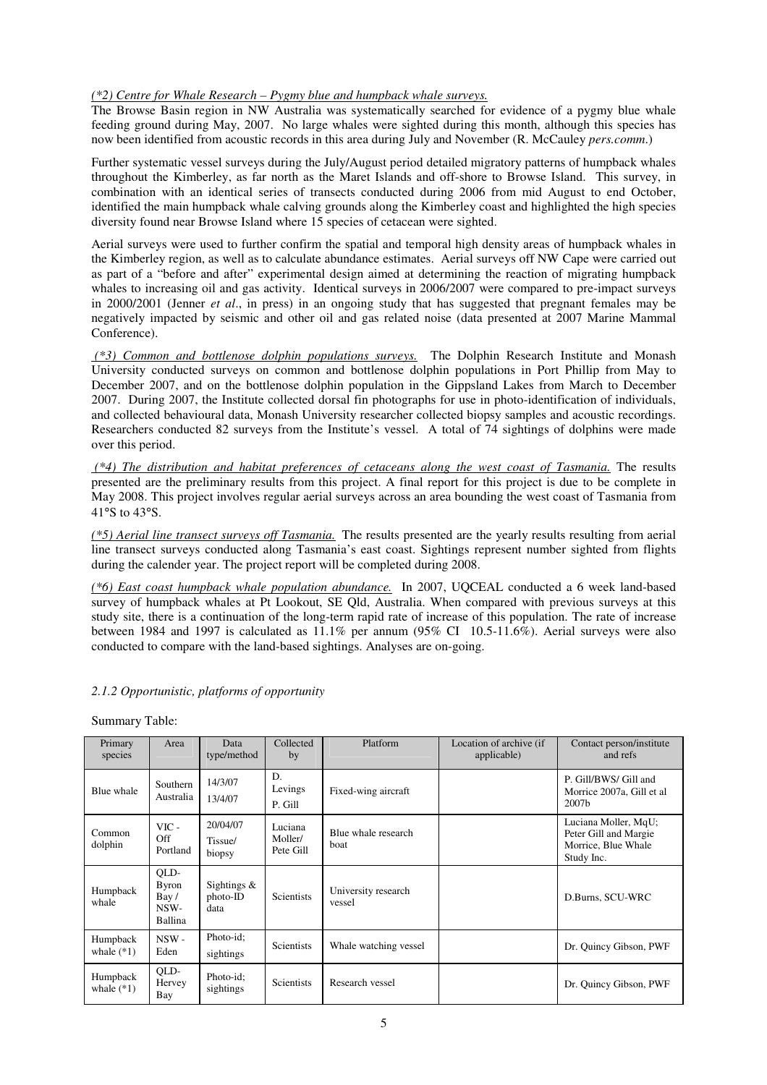#### *(\*2) Centre for Whale Research – Pygmy blue and humpback whale surveys.*

The Browse Basin region in NW Australia was systematically searched for evidence of a pygmy blue whale feeding ground during May, 2007. No large whales were sighted during this month, although this species has now been identified from acoustic records in this area during July and November (R. McCauley *pers.comm*.)

Further systematic vessel surveys during the July/August period detailed migratory patterns of humpback whales throughout the Kimberley, as far north as the Maret Islands and off-shore to Browse Island. This survey, in combination with an identical series of transects conducted during 2006 from mid August to end October, identified the main humpback whale calving grounds along the Kimberley coast and highlighted the high species diversity found near Browse Island where 15 species of cetacean were sighted.

Aerial surveys were used to further confirm the spatial and temporal high density areas of humpback whales in the Kimberley region, as well as to calculate abundance estimates. Aerial surveys off NW Cape were carried out as part of a "before and after" experimental design aimed at determining the reaction of migrating humpback whales to increasing oil and gas activity. Identical surveys in 2006/2007 were compared to pre-impact surveys in 2000/2001 (Jenner *et al*., in press) in an ongoing study that has suggested that pregnant females may be negatively impacted by seismic and other oil and gas related noise (data presented at 2007 Marine Mammal Conference).

 *(\*3) Common and bottlenose dolphin populations surveys.* The Dolphin Research Institute and Monash University conducted surveys on common and bottlenose dolphin populations in Port Phillip from May to December 2007, and on the bottlenose dolphin population in the Gippsland Lakes from March to December 2007. During 2007, the Institute collected dorsal fin photographs for use in photo-identification of individuals, and collected behavioural data, Monash University researcher collected biopsy samples and acoustic recordings. Researchers conducted 82 surveys from the Institute's vessel. A total of 74 sightings of dolphins were made over this period.

 *(\*4) The distribution and habitat preferences of cetaceans along the west coast of Tasmania.* The results presented are the preliminary results from this project. A final report for this project is due to be complete in May 2008. This project involves regular aerial surveys across an area bounding the west coast of Tasmania from 41°S to 43°S.

*(\*5) Aerial line transect surveys off Tasmania.* The results presented are the yearly results resulting from aerial line transect surveys conducted along Tasmania's east coast. Sightings represent number sighted from flights during the calender year. The project report will be completed during 2008.

*(\*6) East coast humpback whale population abundance.* In 2007, UQCEAL conducted a 6 week land-based survey of humpback whales at Pt Lookout, SE Old, Australia. When compared with previous surveys at this study site, there is a continuation of the long-term rapid rate of increase of this population. The rate of increase between 1984 and 1997 is calculated as 11.1% per annum (95% CI 10.5-11.6%). Aerial surveys were also conducted to compare with the land-based sightings. Analyses are on-going.

#### *2.1.2 Opportunistic, platforms of opportunity*

Summary Table:

| Primary<br>species       | Area                                            | Data<br>type/method                | Collected<br>by                 | Platform                           | Location of archive (if<br>applicable) | Contact person/institute<br>and refs                                               |
|--------------------------|-------------------------------------------------|------------------------------------|---------------------------------|------------------------------------|----------------------------------------|------------------------------------------------------------------------------------|
| Blue whale               | <b>Southern</b><br>Australia                    | 14/3/07<br>13/4/07                 | D.<br>Levings<br>P. Gill        | Fixed-wing aircraft                |                                        | P. Gill/BWS/ Gill and<br>Morrice 2007a, Gill et al<br>2007 <sub>b</sub>            |
| Common<br>dolphin        | $VIC -$<br>Off<br>Portland                      | 20/04/07<br>Tissue/<br>biopsy      | Luciana<br>Moller/<br>Pete Gill | Blue whale research<br><b>boat</b> |                                        | Luciana Moller, MqU;<br>Peter Gill and Margie<br>Morrice, Blue Whale<br>Study Inc. |
| Humpback<br>whale        | QLD-<br><b>Byron</b><br>Bay/<br>NSW-<br>Ballina | Sightings $\&$<br>photo-ID<br>data | <b>Scientists</b>               | University research<br>vessel      |                                        | D.Burns, SCU-WRC                                                                   |
| Humpback<br>whale $(*1)$ | $NSW -$<br>Eden                                 | Photo-id;<br>sightings             | <b>Scientists</b>               | Whale watching vessel              |                                        | Dr. Quincy Gibson, PWF                                                             |
| Humpback<br>whale $(*1)$ | QLD-<br>Hervey<br>Bay                           | Photo-id;<br>sightings             | <b>Scientists</b>               | Research vessel                    |                                        | Dr. Quincy Gibson, PWF                                                             |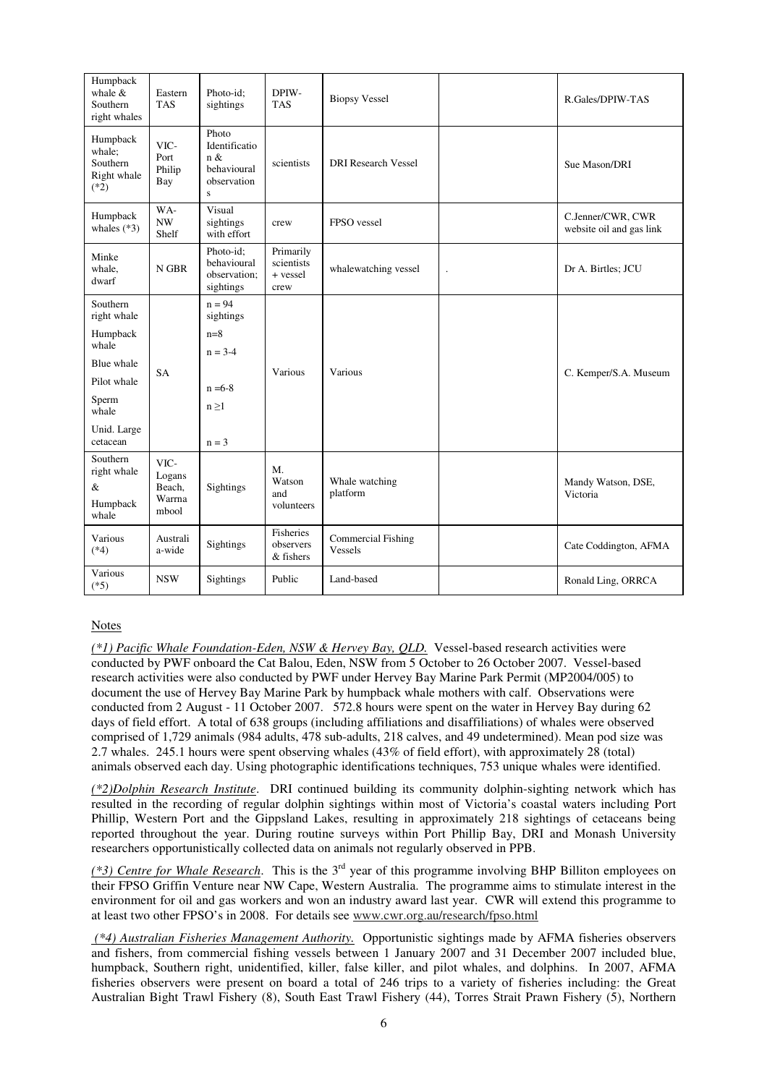| Humpback<br>whale $&$<br>Southern<br>right whales       | Eastern<br><b>TAS</b>                       | Photo-id:<br>sightings                                           | DPIW-<br><b>TAS</b>                         | <b>Biopsy Vessel</b>                 | R.Gales/DPIW-TAS                              |
|---------------------------------------------------------|---------------------------------------------|------------------------------------------------------------------|---------------------------------------------|--------------------------------------|-----------------------------------------------|
| Humpback<br>whale;<br>Southern<br>Right whale<br>$(*2)$ | VIC-<br>Port<br>Philip<br>Bay               | Photo<br>Identificatio<br>n &<br>behavioural<br>observation<br>S | scientists                                  | <b>DRI</b> Research Vessel           | Sue Mason/DRI                                 |
| Humpback<br>whales $(*3)$                               | WA-<br>NW<br>Shelf                          | Visual<br>sightings<br>with effort                               | crew                                        | FPSO vessel                          | C.Jenner/CWR, CWR<br>website oil and gas link |
| Minke<br>whale,<br>dwarf                                | N GBR                                       | Photo-id:<br>behavioural<br>observation;<br>sightings            | Primarily<br>scientists<br>+ vessel<br>crew | whalewatching vessel                 | Dr A. Birtles; JCU                            |
| Southern<br>right whale                                 |                                             | $n = 94$<br>sightings                                            |                                             |                                      |                                               |
| Humpback<br>whale                                       |                                             | $n=8$<br>$n = 3-4$                                               |                                             |                                      |                                               |
| Blue whale                                              | <b>SA</b>                                   |                                                                  | Various                                     | Various                              |                                               |
| Pilot whale                                             |                                             | $n = 6-8$                                                        |                                             |                                      | C. Kemper/S.A. Museum                         |
| Sperm<br>whale                                          |                                             | $n \geq 1$                                                       |                                             |                                      |                                               |
| Unid. Large<br>cetacean                                 |                                             | $n = 3$                                                          |                                             |                                      |                                               |
| Southern<br>right whale<br>&<br>Humpback<br>whale       | VIC-<br>Logans<br>Beach,<br>Warrna<br>mbool | Sightings                                                        | $M_{\cdot}$<br>Watson<br>and<br>volunteers  | Whale watching<br>platform           | Mandy Watson, DSE,<br>Victoria                |
| Various<br>$(*4)$                                       | Australi<br>a-wide                          | Sightings                                                        | Fisheries<br>observers<br>& fishers         | <b>Commercial Fishing</b><br>Vessels | Cate Coddington, AFMA                         |
| Various<br>$(*5)$                                       | <b>NSW</b>                                  | Sightings                                                        | Public                                      | Land-based                           | Ronald Ling, ORRCA                            |

### Notes

*(\*1) Pacific Whale Foundation-Eden, NSW & Hervey Bay, QLD.* Vessel-based research activities were conducted by PWF onboard the Cat Balou, Eden, NSW from 5 October to 26 October 2007. Vessel-based research activities were also conducted by PWF under Hervey Bay Marine Park Permit (MP2004/005) to document the use of Hervey Bay Marine Park by humpback whale mothers with calf. Observations were conducted from 2 August - 11 October 2007. 572.8 hours were spent on the water in Hervey Bay during 62 days of field effort. A total of 638 groups (including affiliations and disaffiliations) of whales were observed comprised of 1,729 animals (984 adults, 478 sub-adults, 218 calves, and 49 undetermined). Mean pod size was 2.7 whales. 245.1 hours were spent observing whales (43% of field effort), with approximately 28 (total) animals observed each day. Using photographic identifications techniques, 753 unique whales were identified.

*(\*2)Dolphin Research Institute*. DRI continued building its community dolphin-sighting network which has resulted in the recording of regular dolphin sightings within most of Victoria's coastal waters including Port Phillip, Western Port and the Gippsland Lakes, resulting in approximately 218 sightings of cetaceans being reported throughout the year. During routine surveys within Port Phillip Bay, DRI and Monash University researchers opportunistically collected data on animals not regularly observed in PPB.

*(\*3) Centre for Whale Research*. This is the 3rd year of this programme involving BHP Billiton employees on their FPSO Griffin Venture near NW Cape, Western Australia. The programme aims to stimulate interest in the environment for oil and gas workers and won an industry award last year. CWR will extend this programme to at least two other FPSO's in 2008. For details see www.cwr.org.au/research/fpso.html

 *(\*4) Australian Fisheries Management Authority.* Opportunistic sightings made by AFMA fisheries observers and fishers, from commercial fishing vessels between 1 January 2007 and 31 December 2007 included blue, humpback, Southern right, unidentified, killer, false killer, and pilot whales, and dolphins. In 2007, AFMA fisheries observers were present on board a total of 246 trips to a variety of fisheries including: the Great Australian Bight Trawl Fishery (8), South East Trawl Fishery (44), Torres Strait Prawn Fishery (5), Northern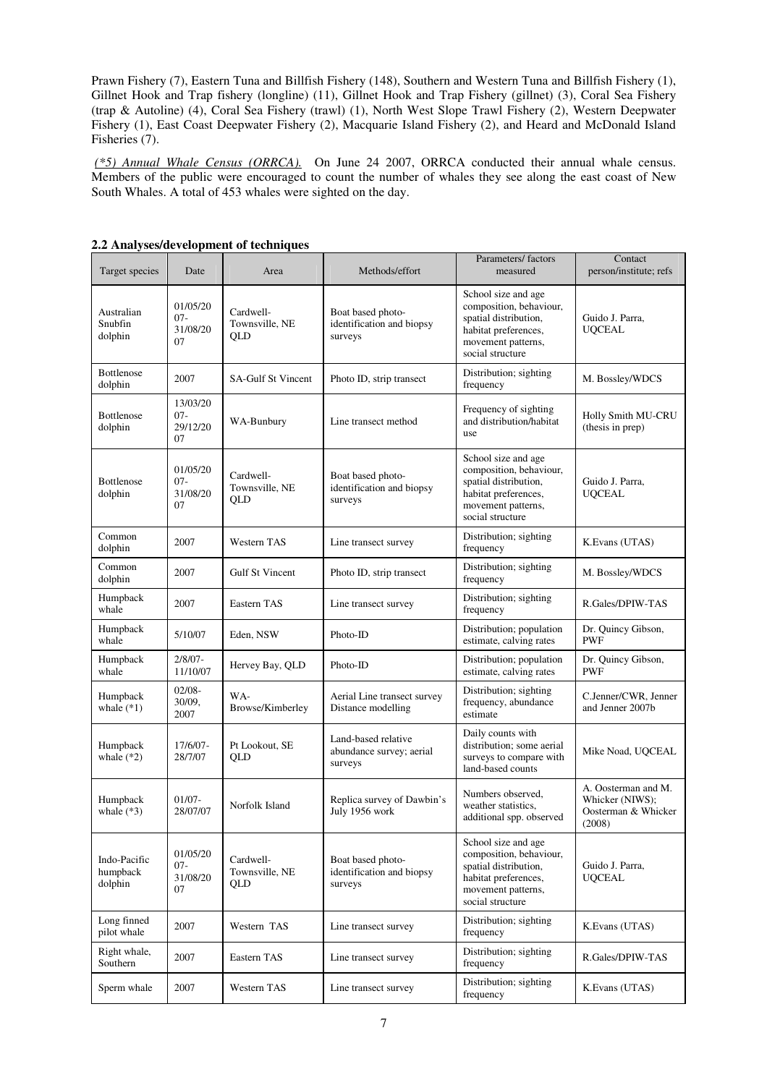Prawn Fishery (7), Eastern Tuna and Billfish Fishery (148), Southern and Western Tuna and Billfish Fishery (1), Gillnet Hook and Trap fishery (longline) (11), Gillnet Hook and Trap Fishery (gillnet) (3), Coral Sea Fishery (trap & Autoline) (4), Coral Sea Fishery (trawl) (1), North West Slope Trawl Fishery (2), Western Deepwater Fishery (1), East Coast Deepwater Fishery (2), Macquarie Island Fishery (2), and Heard and McDonald Island Fisheries (7).

*(\*5) Annual Whale Census (ORRCA).* On June 24 2007, ORRCA conducted their annual whale census. Members of the public were encouraged to count the number of whales they see along the east coast of New South Whales. A total of 453 whales were sighted on the day.

| Target species                      | Date                                 | Area                               | Methods/effort                                             | Parameters/ factors<br>measured                                                                                                           | Contact<br>person/institute; refs                                       |
|-------------------------------------|--------------------------------------|------------------------------------|------------------------------------------------------------|-------------------------------------------------------------------------------------------------------------------------------------------|-------------------------------------------------------------------------|
| Australian<br>Snubfin<br>dolphin    | 01/05/20<br>$07 -$<br>31/08/20<br>07 | Cardwell-<br>Townsville, NE<br>QLD | Boat based photo-<br>identification and biopsy<br>surveys  | School size and age<br>composition, behaviour,<br>spatial distribution,<br>habitat preferences,<br>movement patterns,<br>social structure | Guido J. Parra,<br><b>UOCEAL</b>                                        |
| Bottlenose<br>dolphin               | 2007                                 | <b>SA-Gulf St Vincent</b>          | Photo ID, strip transect                                   | Distribution; sighting<br>frequency                                                                                                       | M. Bossley/WDCS                                                         |
| Bottlenose<br>dolphin               | 13/03/20<br>$07 -$<br>29/12/20<br>07 | WA-Bunbury                         | Line transect method                                       | Frequency of sighting<br>and distribution/habitat<br>use                                                                                  | <b>Holly Smith MU-CRU</b><br>(thesis in prep)                           |
| <b>Bottlenose</b><br>dolphin        | 01/05/20<br>$07 -$<br>31/08/20<br>07 | Cardwell-<br>Townsville, NE<br>QLD | Boat based photo-<br>identification and biopsy<br>surveys  | School size and age<br>composition, behaviour,<br>spatial distribution,<br>habitat preferences,<br>movement patterns,<br>social structure | Guido J. Parra,<br><b>UQCEAL</b>                                        |
| Common<br>dolphin                   | 2007                                 | Western TAS                        | Line transect survey                                       | Distribution; sighting<br>frequency                                                                                                       | K.Evans (UTAS)                                                          |
| Common<br>dolphin                   | 2007                                 | Gulf St Vincent                    | Photo ID, strip transect                                   | Distribution; sighting<br>frequency                                                                                                       | M. Bossley/WDCS                                                         |
| Humpback<br>whale                   | 2007                                 | Eastern TAS                        | Line transect survey                                       | Distribution; sighting<br>frequency                                                                                                       | R.Gales/DPIW-TAS                                                        |
| Humpback<br>whale                   | 5/10/07                              | Eden, NSW                          | Photo-ID                                                   | Distribution; population<br>estimate, calving rates                                                                                       | Dr. Quincy Gibson,<br><b>PWF</b>                                        |
| Humpback<br>whale                   | $2/8/07 -$<br>11/10/07               | Hervey Bay, QLD                    | Photo-ID                                                   | Distribution; population<br>estimate, calving rates                                                                                       | Dr. Quincy Gibson,<br><b>PWF</b>                                        |
| Humpback<br>whale $(*1)$            | $02/08 -$<br>30/09,<br>2007          | WA-<br>Browse/Kimberley            | Aerial Line transect survey<br>Distance modelling          | Distribution; sighting<br>frequency, abundance<br>estimate                                                                                | C.Jenner/CWR, Jenner<br>and Jenner 2007b                                |
| Humpback<br>whale $(*2)$            | 17/6/07-<br>28/7/07                  | Pt Lookout, SE<br>QLD              | Land-based relative<br>abundance survey; aerial<br>surveys | Daily counts with<br>distribution; some aerial<br>surveys to compare with<br>land-based counts                                            | Mike Noad, UQCEAL                                                       |
| Humpback<br>whale $(*3)$            | $01/07 -$<br>28/07/07                | Norfolk Island                     | Replica survey of Dawbin's<br>July 1956 work               | Numbers observed,<br>weather statistics,<br>additional spp. observed                                                                      | A. Oosterman and M.<br>Whicker (NIWS);<br>Oosterman & Whicker<br>(2008) |
| Indo-Pacific<br>humpback<br>dolphin | 01/05/20<br>$07 -$<br>31/08/20<br>07 | Cardwell-<br>Townsville, NE<br>QLD | Boat based photo-<br>identification and biopsy<br>surveys  | School size and age<br>composition, behaviour,<br>spatial distribution,<br>habitat preferences,<br>movement patterns,<br>social structure | Guido J. Parra,<br><b>UQCEAL</b>                                        |
| Long finned<br>pilot whale          | 2007                                 | Western TAS                        | Line transect survey                                       | Distribution; sighting<br>frequency                                                                                                       | K.Evans (UTAS)                                                          |
| Right whale,<br>Southern            | 2007                                 | Eastern TAS                        | Line transect survey                                       | Distribution; sighting<br>frequency                                                                                                       | R.Gales/DPIW-TAS                                                        |
| Sperm whale                         | 2007                                 | Western TAS                        | Line transect survey                                       | Distribution; sighting<br>frequency                                                                                                       | K. Evans (UTAS)                                                         |

**2.2 Analyses/development of techniques**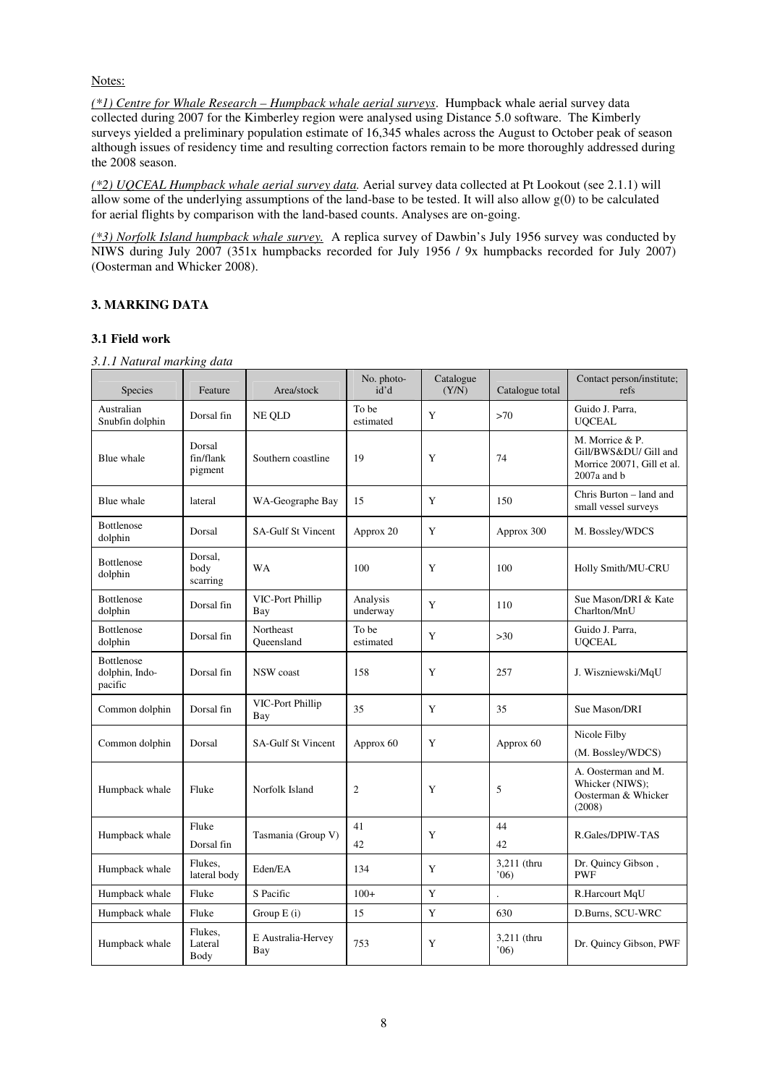Notes:

*(\*1) Centre for Whale Research – Humpback whale aerial surveys*. Humpback whale aerial survey data collected during 2007 for the Kimberley region were analysed using Distance 5.0 software. The Kimberly surveys yielded a preliminary population estimate of 16,345 whales across the August to October peak of season although issues of residency time and resulting correction factors remain to be more thoroughly addressed during the 2008 season.

*(\*2) UQCEAL Humpback whale aerial survey data.* Aerial survey data collected at Pt Lookout (see 2.1.1) will allow some of the underlying assumptions of the land-base to be tested. It will also allow  $g(0)$  to be calculated for aerial flights by comparison with the land-based counts. Analyses are on-going.

*(\*3) Norfolk Island humpback whale survey.* A replica survey of Dawbin's July 1956 survey was conducted by NIWS during July 2007 (351x humpbacks recorded for July 1956 / 9x humpbacks recorded for July 2007) (Oosterman and Whicker 2008).

# **3. MARKING DATA**

# **3.1 Field work**

*3.1.1 Natural marking data* 

| <b>Species</b>                                 | Feature                        | Area/stock                | No. photo-<br>id'd   | Catalogue<br>(Y/N) | Catalogue total      | Contact person/institute;<br>refs                                                         |
|------------------------------------------------|--------------------------------|---------------------------|----------------------|--------------------|----------------------|-------------------------------------------------------------------------------------------|
| Australian<br>Snubfin dolphin                  | Dorsal fin                     | NE OLD                    | To be<br>estimated   | Y                  | >70                  | Guido J. Parra,<br><b>UQCEAL</b>                                                          |
| Blue whale                                     | Dorsal<br>fin/flank<br>pigment | Southern coastline        | 19                   | Y                  | 74                   | M. Morrice & P.<br>Gill/BWS&DU/ Gill and<br>Morrice 20071, Gill et al.<br>$2007a$ and $b$ |
| Blue whale                                     | lateral                        | WA-Geographe Bay          | 15                   | Y                  | 150                  | Chris Burton - land and<br>small vessel surveys                                           |
| <b>Bottlenose</b><br>dolphin                   | Dorsal                         | <b>SA-Gulf St Vincent</b> | Approx 20            | Y                  | Approx 300           | M. Bossley/WDCS                                                                           |
| <b>Bottlenose</b><br>dolphin                   | Dorsal,<br>body<br>scarring    | <b>WA</b>                 | 100                  | Y                  | 100                  | Holly Smith/MU-CRU                                                                        |
| Bottlenose<br>dolphin                          | Dorsal fin                     | VIC-Port Phillip<br>Bay   | Analysis<br>underway | Y                  | 110                  | Sue Mason/DRI & Kate<br>Charlton/MnU                                                      |
| <b>Bottlenose</b><br>dolphin                   | Dorsal fin                     | Northeast<br>Oueensland   | To be<br>estimated   | Y                  | $>30$                | Guido J. Parra.<br><b>UQCEAL</b>                                                          |
| <b>Bottlenose</b><br>dolphin, Indo-<br>pacific | Dorsal fin                     | NSW coast                 | 158                  | Y                  | 257                  | J. Wiszniewski/MqU                                                                        |
| Common dolphin                                 | Dorsal fin                     | VIC-Port Phillip<br>Bay   | 35                   | Y                  | 35                   | Sue Mason/DRI                                                                             |
| Common dolphin                                 | Dorsal                         | <b>SA-Gulf St Vincent</b> | Approx 60            | Y                  | Approx 60            | Nicole Filby<br>(M. Bossley/WDCS)                                                         |
| Humpback whale                                 | Fluke                          | Norfolk Island            | $\mathfrak{2}$       | Y                  | 5                    | A. Oosterman and M.<br>Whicker (NIWS);<br>Oosterman & Whicker<br>(2008)                   |
| Humpback whale                                 | Fluke<br>Dorsal fin            | Tasmania (Group V)        | 41<br>42             | Y                  | 44<br>42             | R.Gales/DPIW-TAS                                                                          |
| Humpback whale                                 | Flukes,<br>lateral body        | Eden/EA                   | 134                  | Y                  | 3,211 (thru<br>06    | Dr. Quincy Gibson,<br><b>PWF</b>                                                          |
| Humpback whale                                 | Fluke                          | S Pacific                 | $100+$               | Y                  | $\ddot{\phantom{0}}$ | R.Harcourt MqU                                                                            |
| Humpback whale                                 | Fluke                          | Group E (i)               | 15                   | Y                  | 630                  | D.Burns, SCU-WRC                                                                          |
| Humpback whale                                 | Flukes,<br>Lateral<br>Body     | E Australia-Hervey<br>Bay | 753                  | Y                  | 3,211 (thru<br>06    | Dr. Quincy Gibson, PWF                                                                    |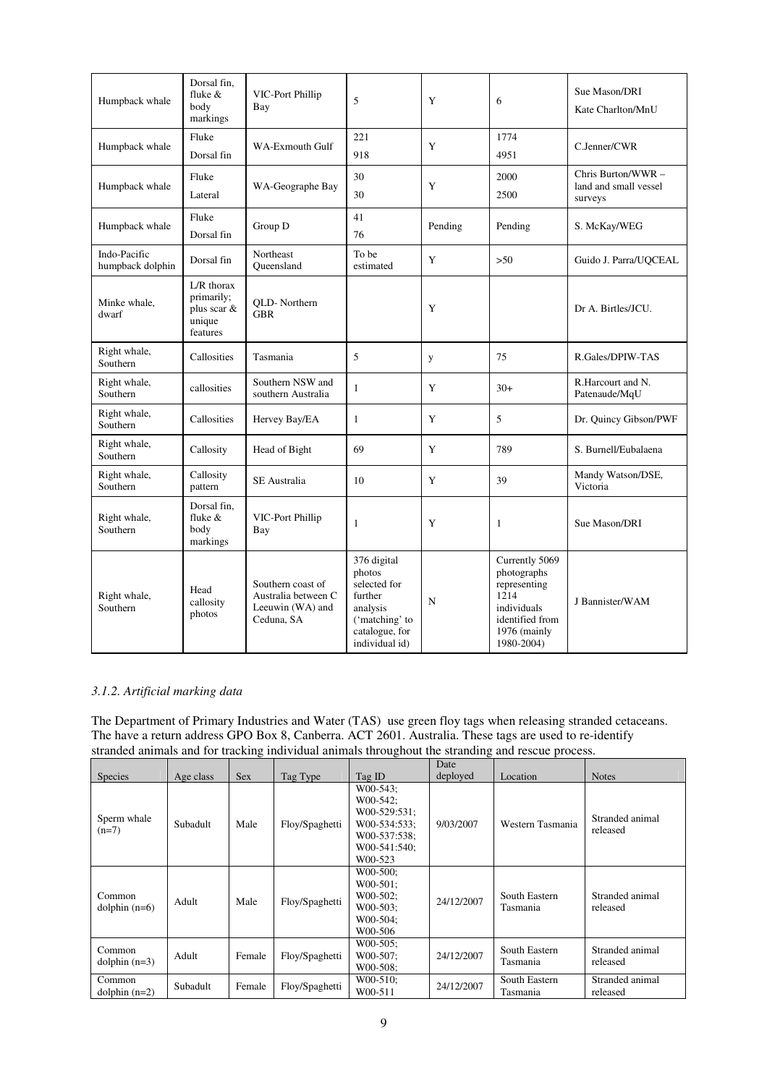| Humpback whale                   | Dorsal fin,<br>fluke $&$<br>body<br>markings                    | VIC-Port Phillip<br>Bay                                                    | 5                                                                                                                  | Y       | 6                                                                                                                     | Sue Mason/DRI<br>Kate Charlton/MnU                     |
|----------------------------------|-----------------------------------------------------------------|----------------------------------------------------------------------------|--------------------------------------------------------------------------------------------------------------------|---------|-----------------------------------------------------------------------------------------------------------------------|--------------------------------------------------------|
| Humpback whale                   | Fluke<br>Dorsal fin                                             | <b>WA-Exmouth Gulf</b>                                                     | 221<br>918                                                                                                         | Y       | 1774<br>4951                                                                                                          | C.Jenner/CWR                                           |
| Humpback whale                   | Fluke<br>Lateral                                                | WA-Geographe Bay                                                           | 30<br>30                                                                                                           | Y       | 2000<br>2500                                                                                                          | Chris Burton/WWR -<br>land and small vessel<br>surveys |
| Humpback whale                   | Fluke<br>Dorsal fin                                             | Group D                                                                    | 41<br>76                                                                                                           | Pending | Pending                                                                                                               | S. McKay/WEG                                           |
| Indo-Pacific<br>humpback dolphin | Dorsal fin                                                      | Northeast<br>Oueensland                                                    | To be<br>estimated                                                                                                 | Y       | $>50$                                                                                                                 | Guido J. Parra/UOCEAL                                  |
| Minke whale,<br>dwarf            | $L/R$ thorax<br>primarily;<br>plus scar &<br>unique<br>features | QLD-Northern<br><b>GBR</b>                                                 |                                                                                                                    | Y       |                                                                                                                       | Dr A. Birtles/JCU.                                     |
| Right whale,<br>Southern         | Callosities                                                     | Tasmania                                                                   | 5                                                                                                                  | y       | 75                                                                                                                    | R.Gales/DPIW-TAS                                       |
| Right whale,<br>Southern         | callosities                                                     | Southern NSW and<br>southern Australia                                     | 1                                                                                                                  | Y       | $30+$                                                                                                                 | R.Harcourt and N.<br>Patenaude/MqU                     |
| Right whale,<br>Southern         | Callosities                                                     | Hervey Bay/EA                                                              | $\mathbf{1}$                                                                                                       | Y       | 5                                                                                                                     | Dr. Quincy Gibson/PWF                                  |
| Right whale,<br>Southern         | Callosity                                                       | Head of Bight                                                              | 69                                                                                                                 | Y       | 789                                                                                                                   | S. Burnell/Eubalaena                                   |
| Right whale,<br>Southern         | Callosity<br>pattern                                            | <b>SE</b> Australia                                                        | 10                                                                                                                 | Y       | 39                                                                                                                    | Mandy Watson/DSE,<br>Victoria                          |
| Right whale,<br>Southern         | Dorsal fin.<br>fluke &<br>body<br>markings                      | VIC-Port Phillip<br>Bay                                                    | 1                                                                                                                  | Y       | 1                                                                                                                     | Sue Mason/DRI                                          |
| Right whale,<br>Southern         | Head<br>callosity<br>photos                                     | Southern coast of<br>Australia between C<br>Leeuwin (WA) and<br>Ceduna, SA | 376 digital<br>photos<br>selected for<br>further<br>analysis<br>('matching' to<br>catalogue, for<br>individual id) | N       | Currently 5069<br>photographs<br>representing<br>1214<br>individuals<br>identified from<br>1976 (mainly<br>1980-2004) | J Bannister/WAM                                        |

# *3.1.2. Artificial marking data*

The Department of Primary Industries and Water (TAS) use green floy tags when releasing stranded cetaceans. The have a return address GPO Box 8, Canberra. ACT 2601. Australia. These tags are used to re-identify stranded animals and for tracking individual animals throughout the stranding and rescue process.

|                           |           |            |                |                                                                                                          | Date       |                           |                             |
|---------------------------|-----------|------------|----------------|----------------------------------------------------------------------------------------------------------|------------|---------------------------|-----------------------------|
| <b>Species</b>            | Age class | <b>Sex</b> | Tag Type       | Tag ID                                                                                                   | deployed   | Location                  | <b>Notes</b>                |
| Sperm whale<br>$(n=7)$    | Subadult  | Male       | Floy/Spaghetti | $W00-543$ ;<br>$W00-542$ ;<br>$W00-529:531$ ;<br>W00-534:533;<br>W00-537:538:<br>W00-541:540:<br>W00-523 | 9/03/2007  | Western Tasmania          | Stranded animal<br>released |
| Common<br>dolphin $(n=6)$ | Adult     | Male       | Floy/Spaghetti | W00-500:<br>$W00-501$ ;<br>$W00-502$ ;<br>$W00-503$ ;<br>W00-504:<br>W00-506                             | 24/12/2007 | South Eastern<br>Tasmania | Stranded animal<br>released |
| Common<br>dolphin $(n=3)$ | Adult     | Female     | Floy/Spaghetti | $W00-505$ ;<br>W00-507:<br>W00-508;                                                                      | 24/12/2007 | South Eastern<br>Tasmania | Stranded animal<br>released |
| Common<br>dolphin $(n=2)$ | Subadult  | Female     | Floy/Spaghetti | W00-510;<br>W00-511                                                                                      | 24/12/2007 | South Eastern<br>Tasmania | Stranded animal<br>released |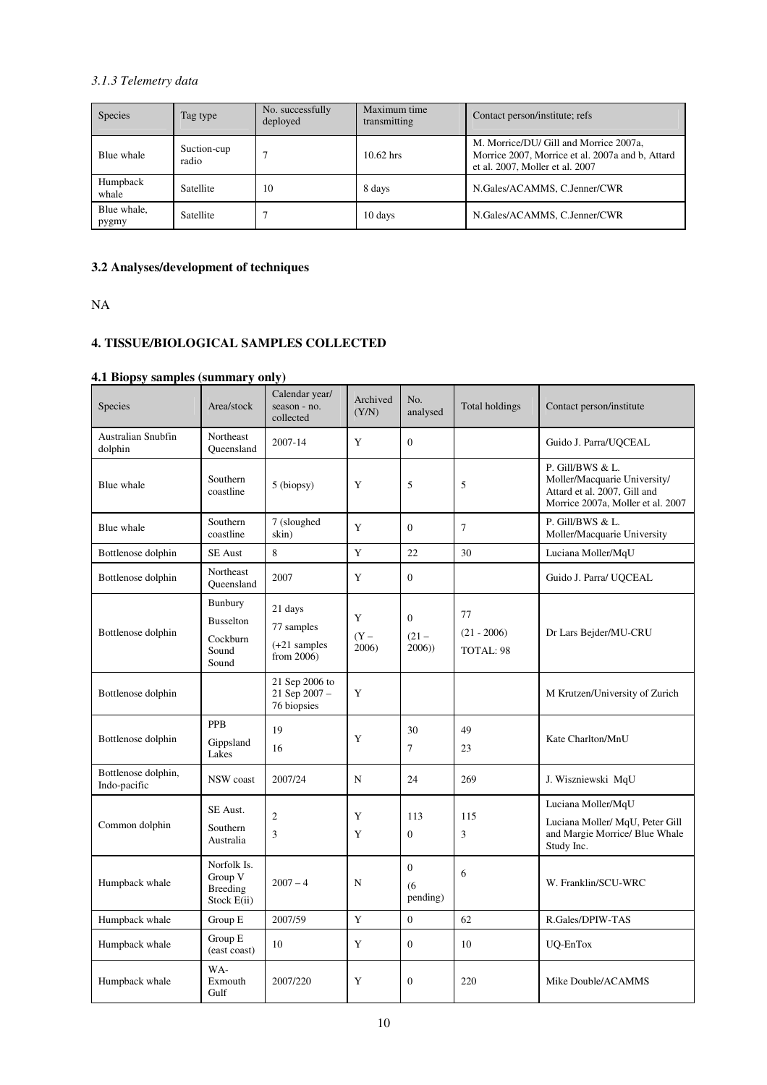# *3.1.3 Telemetry data*

| Species              | Tag type             | No. successfully<br>deployed | Maximum time<br>transmitting | Contact person/institute; refs                                                                                                |
|----------------------|----------------------|------------------------------|------------------------------|-------------------------------------------------------------------------------------------------------------------------------|
| Blue whale           | Suction-cup<br>radio |                              | $10.62$ hrs                  | M. Morrice/DU/ Gill and Morrice 2007a,<br>Morrice 2007, Morrice et al. 2007a and b, Attard<br>et al. 2007, Moller et al. 2007 |
| Humpback<br>whale    | <b>Satellite</b>     | 10                           | 8 days                       | N.Gales/ACAMMS, C.Jenner/CWR                                                                                                  |
| Blue whale,<br>pygmy | Satellite            |                              | 10 days                      | N.Gales/ACAMMS, C.Jenner/CWR                                                                                                  |

# **3.2 Analyses/development of techniques**

NA

# **4. TISSUE/BIOLOGICAL SAMPLES COLLECTED**

# **4.1 Biopsy samples (summary only)**

| Species                             | Area/stock                                                       | Calendar year/<br>season - no.<br>collected           | Archived<br>(Y/N)    | No.<br>analysed              | Total holdings                   | Contact person/institute                                                                                              |
|-------------------------------------|------------------------------------------------------------------|-------------------------------------------------------|----------------------|------------------------------|----------------------------------|-----------------------------------------------------------------------------------------------------------------------|
| Australian Snubfin<br>dolphin       | Northeast<br>Queensland                                          | 2007-14                                               | Y                    | $\mathbf{0}$                 |                                  | Guido J. Parra/UQCEAL                                                                                                 |
| Blue whale                          | Southern<br>coastline                                            | 5 (biopsy)                                            | Y                    | 5                            | 5                                | P. Gill/BWS & L.<br>Moller/Macquarie University/<br>Attard et al. 2007, Gill and<br>Morrice 2007a, Moller et al. 2007 |
| Blue whale                          | Southern<br>coastline                                            | 7 (sloughed<br>skin)                                  | Y                    | $\mathbf{0}$                 | 7                                | P. Gill/BWS & L.<br>Moller/Macquarie University                                                                       |
| Bottlenose dolphin                  | <b>SE</b> Aust                                                   | 8                                                     | Y                    | 22                           | 30                               | Luciana Moller/MqU                                                                                                    |
| Bottlenose dolphin                  | Northeast<br>Queensland                                          | 2007                                                  | Y                    | $\overline{0}$               |                                  | Guido J. Parra/ UQCEAL                                                                                                |
| Bottlenose dolphin                  | <b>Bunbury</b><br><b>Busselton</b><br>Cockburn<br>Sound<br>Sound | 21 days<br>77 samples<br>$(+21$ samples<br>from 2006) | Y<br>$(Y -$<br>2006) | $\Omega$<br>$(21 -$<br>2006) | 77<br>$(21 - 2006)$<br>TOTAL: 98 | Dr Lars Bejder/MU-CRU                                                                                                 |
| Bottlenose dolphin                  |                                                                  | 21 Sep 2006 to<br>21 Sep 2007 -<br>76 biopsies        | Y                    |                              |                                  | M Krutzen/University of Zurich                                                                                        |
| Bottlenose dolphin                  | <b>PPB</b><br>Gippsland<br>Lakes                                 | 19<br>16                                              | Y                    | 30<br>$\overline{7}$         | 49<br>23                         | Kate Charlton/MnU                                                                                                     |
| Bottlenose dolphin,<br>Indo-pacific | NSW coast                                                        | 2007/24                                               | N                    | 24                           | 269                              | J. Wiszniewski MqU                                                                                                    |
| Common dolphin                      | SE Aust.<br>Southern<br>Australia                                | $\overline{2}$<br>3                                   | Y<br>Y               | 113<br>$\theta$              | 115<br>3                         | Luciana Moller/MqU<br>Luciana Moller/ MqU, Peter Gill<br>and Margie Morrice/ Blue Whale<br>Study Inc.                 |
| Humpback whale                      | Norfolk Is.<br>Group V<br><b>Breeding</b><br>Stock E(ii)         | $2007 - 4$                                            | N                    | $\Omega$<br>(6)<br>pending)  | 6                                | W. Franklin/SCU-WRC                                                                                                   |
| Humpback whale                      | Group E                                                          | 2007/59                                               | Y                    | $\mathbf{0}$                 | 62                               | R.Gales/DPIW-TAS                                                                                                      |
| Humpback whale                      | Group E<br>(east coast)                                          | 10                                                    | Y                    | $\mathbf{0}$                 | 10                               | UQ-EnTox                                                                                                              |
| Humpback whale                      | WA-<br>Exmouth<br>Gulf                                           | 2007/220                                              | Y                    | $\mathbf{0}$                 | 220                              | Mike Double/ACAMMS                                                                                                    |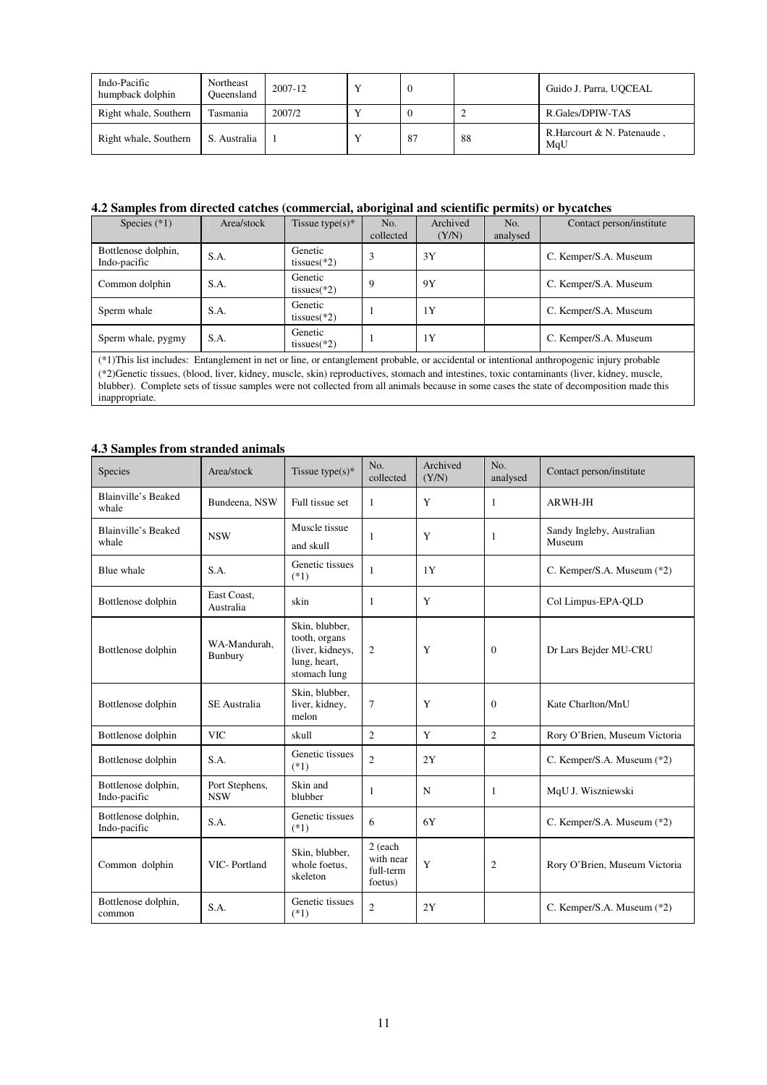| Indo-Pacific<br>humpback dolphin | Northeast<br>Oueensland | 2007-12 |    |     | Guido J. Parra, UOCEAL             |
|----------------------------------|-------------------------|---------|----|-----|------------------------------------|
| Right whale, Southern            | Tasmania                | 2007/2  |    |     | R.Gales/DPIW-TAS                   |
| Right whale, Southern            | S. Australia            |         | 87 | -88 | R. Harcourt & N. Patenaude.<br>MqU |

# **4.2 Samples from directed catches (commercial, aboriginal and scientific permits) or bycatches**

| Species $(*1)$                      | Area/stock | Tissue type $(s)^*$       | No.<br>collected | Archived<br>(Y/N) | No.<br>analysed | Contact person/institute                                                                                                                                                                                                                                                                                                                                                                                                              |
|-------------------------------------|------------|---------------------------|------------------|-------------------|-----------------|---------------------------------------------------------------------------------------------------------------------------------------------------------------------------------------------------------------------------------------------------------------------------------------------------------------------------------------------------------------------------------------------------------------------------------------|
| Bottlenose dolphin,<br>Indo-pacific | S.A.       | Genetic<br>tissues $(*2)$ | 3                | 3Y                |                 | C. Kemper/S.A. Museum                                                                                                                                                                                                                                                                                                                                                                                                                 |
| Common dolphin                      | S.A.       | Genetic<br>tissues $(*2)$ | 9                | 9Y                |                 | C. Kemper/S.A. Museum                                                                                                                                                                                                                                                                                                                                                                                                                 |
| Sperm whale                         | S.A.       | Genetic<br>tissues $(*2)$ |                  | 1Y                |                 | C. Kemper/S.A. Museum                                                                                                                                                                                                                                                                                                                                                                                                                 |
| Sperm whale, pygmy                  | S.A.       | Genetic<br>tissues $(*2)$ |                  | 1Y                |                 | C. Kemper/S.A. Museum                                                                                                                                                                                                                                                                                                                                                                                                                 |
| inappropriate.                      |            |                           |                  |                   |                 | (*1) This list includes: Entanglement in net or line, or entanglement probable, or accidental or intentional anthropogenic injury probable<br>(*2)Genetic tissues, (blood, liver, kidney, muscle, skin) reproductives, stomach and intestines, toxic contaminants (liver, kidney, muscle,<br>blubber). Complete sets of tissue samples were not collected from all animals because in some cases the state of decomposition made this |

# **4.3 Samples from stranded animals**

| Species                             | Area/stock                   | Tissue type( $s$ )*                                                                 | No.<br>collected                             | Archived<br>(Y/N) | No.<br>analysed | Contact person/institute            |
|-------------------------------------|------------------------------|-------------------------------------------------------------------------------------|----------------------------------------------|-------------------|-----------------|-------------------------------------|
| Blainville's Beaked<br>whale        | Bundeena, NSW                | Full tissue set                                                                     | 1                                            | Y                 | 1               | ARWH-JH                             |
| Blainville's Beaked<br>whale        | <b>NSW</b>                   | Muscle tissue<br>and skull                                                          | 1                                            | Y                 | 1               | Sandy Ingleby, Australian<br>Museum |
| Blue whale                          | S.A.                         | Genetic tissues<br>$(*1)$                                                           | $\mathbf{1}$                                 | 1Y                |                 | C. Kemper/S.A. Museum (*2)          |
| Bottlenose dolphin                  | East Coast.<br>Australia     | skin                                                                                | 1                                            | Y                 |                 | Col Limpus-EPA-QLD                  |
| Bottlenose dolphin                  | WA-Mandurah.<br>Bunbury      | Skin, blubber,<br>tooth, organs<br>(liver, kidneys,<br>lung, heart,<br>stomach lung | 2                                            | Y                 | $\Omega$        | Dr Lars Bejder MU-CRU               |
| Bottlenose dolphin                  | <b>SE</b> Australia          | Skin, blubber,<br>liver, kidney,<br>melon                                           | 7                                            | Y                 | $\Omega$        | Kate Charlton/MnU                   |
| Bottlenose dolphin                  | <b>VIC</b>                   | skull                                                                               | $\overline{c}$                               | Y                 | $\overline{c}$  | Rory O'Brien, Museum Victoria       |
| Bottlenose dolphin                  | S.A.                         | Genetic tissues<br>$(*1)$                                                           | $\overline{c}$                               | 2Y                |                 | C. Kemper/S.A. Museum (*2)          |
| Bottlenose dolphin,<br>Indo-pacific | Port Stephens,<br><b>NSW</b> | Skin and<br>blubber                                                                 | 1                                            | N                 | 1               | MqU J. Wiszniewski                  |
| Bottlenose dolphin,<br>Indo-pacific | S.A.                         | Genetic tissues<br>$(*1)$                                                           | 6                                            | 6Y                |                 | C. Kemper/S.A. Museum (*2)          |
| Common dolphin                      | VIC-Portland                 | Skin, blubber,<br>whole foetus,<br>skeleton                                         | 2 (each<br>with near<br>full-term<br>foetus) | Y                 | $\mathfrak{2}$  | Rory O'Brien, Museum Victoria       |
| Bottlenose dolphin,<br>common       | S.A.                         | Genetic tissues<br>$(*1)$                                                           | $\overline{c}$                               | 2Y                |                 | C. Kemper/S.A. Museum (*2)          |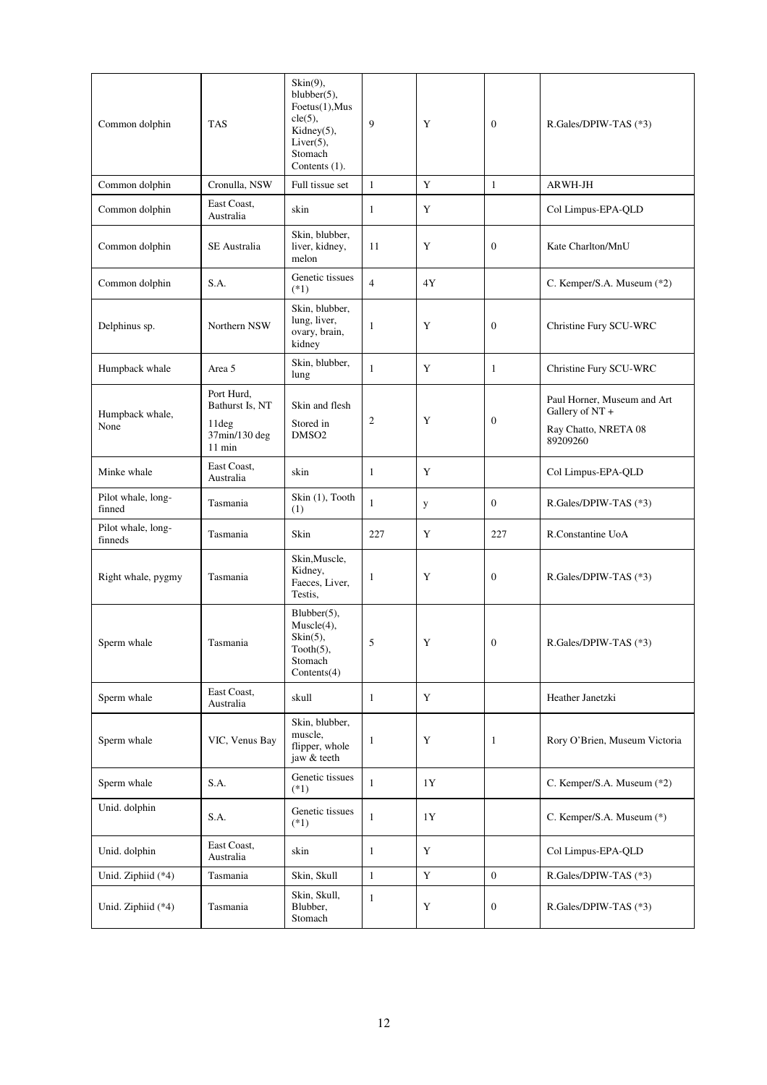| Common dolphin                | <b>TAS</b>                         | $\text{Skin}(9)$ ,<br>blubber $(5)$ ,<br>Foetus(1), Mus<br>cle(5),<br>Kidney $(5)$ ,<br>$Liver(5)$ ,<br>Stomach<br>Contents (1). | 9              | Y           | $\theta$         | R.Gales/DPIW-TAS (*3)                          |
|-------------------------------|------------------------------------|----------------------------------------------------------------------------------------------------------------------------------|----------------|-------------|------------------|------------------------------------------------|
| Common dolphin                | Cronulla, NSW                      | Full tissue set                                                                                                                  | $\mathbf{1}$   | Y           | 1                | <b>ARWH-JH</b>                                 |
| Common dolphin                | East Coast,<br>Australia           | skin                                                                                                                             | $\mathbf{1}$   | Y           |                  | Col Limpus-EPA-QLD                             |
| Common dolphin                | <b>SE</b> Australia                | Skin, blubber,<br>liver, kidney,<br>melon                                                                                        | 11             | Y           | $\theta$         | Kate Charlton/MnU                              |
| Common dolphin                | S.A.                               | Genetic tissues<br>$(*1)$                                                                                                        | $\overline{4}$ | 4Y          |                  | C. Kemper/S.A. Museum (*2)                     |
| Delphinus sp.                 | Northern NSW                       | Skin, blubber,<br>lung, liver,<br>ovary, brain,<br>kidney                                                                        | 1              | Y           | $\mathbf{0}$     | Christine Fury SCU-WRC                         |
| Humpback whale                | Area 5                             | Skin, blubber,<br>lung                                                                                                           | 1              | Y           | $\mathbf{1}$     | Christine Fury SCU-WRC                         |
| Humpback whale,               | Port Hurd,<br>Bathurst Is, NT      | Skin and flesh                                                                                                                   | 2              | Y           | $\boldsymbol{0}$ | Paul Horner, Museum and Art<br>Gallery of NT + |
| None                          | 11deg<br>37min/130 deg<br>$11$ min | Stored in<br>DMSO <sub>2</sub>                                                                                                   |                |             |                  | Ray Chatto, NRETA 08<br>89209260               |
| Minke whale                   | East Coast,<br>Australia           | skin                                                                                                                             | $\mathbf{1}$   | Y           |                  | Col Limpus-EPA-QLD                             |
| Pilot whale, long-<br>finned  | Tasmania                           | Skin (1), Tooth<br>(1)                                                                                                           | $\mathbf{1}$   | y           | $\mathbf{0}$     | R.Gales/DPIW-TAS (*3)                          |
| Pilot whale, long-<br>finneds | Tasmania                           | Skin                                                                                                                             | 227            | Y           | 227              | R.Constantine UoA                              |
| Right whale, pygmy            | Tasmania                           | Skin, Muscle,<br>Kidney,<br>Faeces, Liver,<br>Testis,                                                                            | 1              | Y           | $\theta$         | R.Gales/DPIW-TAS (*3)                          |
| Sperm whale                   | Tasmania                           | $Blubber(5)$ ,<br>Muscle(4),<br>$\text{Skin}(5)$ ,<br>$Tooth(5)$ ,<br>Stomach<br>Contents(4)                                     | 5              | Y           | $\boldsymbol{0}$ | R.Gales/DPIW-TAS (*3)                          |
| Sperm whale                   | East Coast,<br>Australia           | skull                                                                                                                            | $\mathbf{1}$   | $\mathbf Y$ |                  | Heather Janetzki                               |
| Sperm whale                   | VIC, Venus Bay                     | Skin, blubber,<br>muscle,<br>flipper, whole<br>jaw & teeth                                                                       | 1              | Y           | $\mathbf{1}$     | Rory O'Brien, Museum Victoria                  |
| Sperm whale                   | S.A.                               | Genetic tissues<br>$(*1)$                                                                                                        | $\mathbf{1}$   | 1Y          |                  | C. Kemper/S.A. Museum (*2)                     |
| Unid. dolphin                 | S.A.                               | Genetic tissues<br>$(*1)$                                                                                                        | $\mathbf{1}$   | 1Y          |                  | C. Kemper/S.A. Museum (*)                      |
| Unid. dolphin                 | East Coast,<br>Australia           | skin                                                                                                                             | $\mathbf{1}$   | $\mathbf Y$ |                  | Col Limpus-EPA-QLD                             |
| Unid. Ziphiid (*4)            | Tasmania                           | Skin, Skull                                                                                                                      | $\mathbf{1}$   | $\mathbf Y$ | $\boldsymbol{0}$ | R.Gales/DPIW-TAS (*3)                          |
| Unid. Ziphiid (*4)            | Tasmania                           | Skin, Skull,<br>Blubber,<br>Stomach                                                                                              | $\mathbf{1}$   | $\mathbf Y$ | $\boldsymbol{0}$ | R.Gales/DPIW-TAS (*3)                          |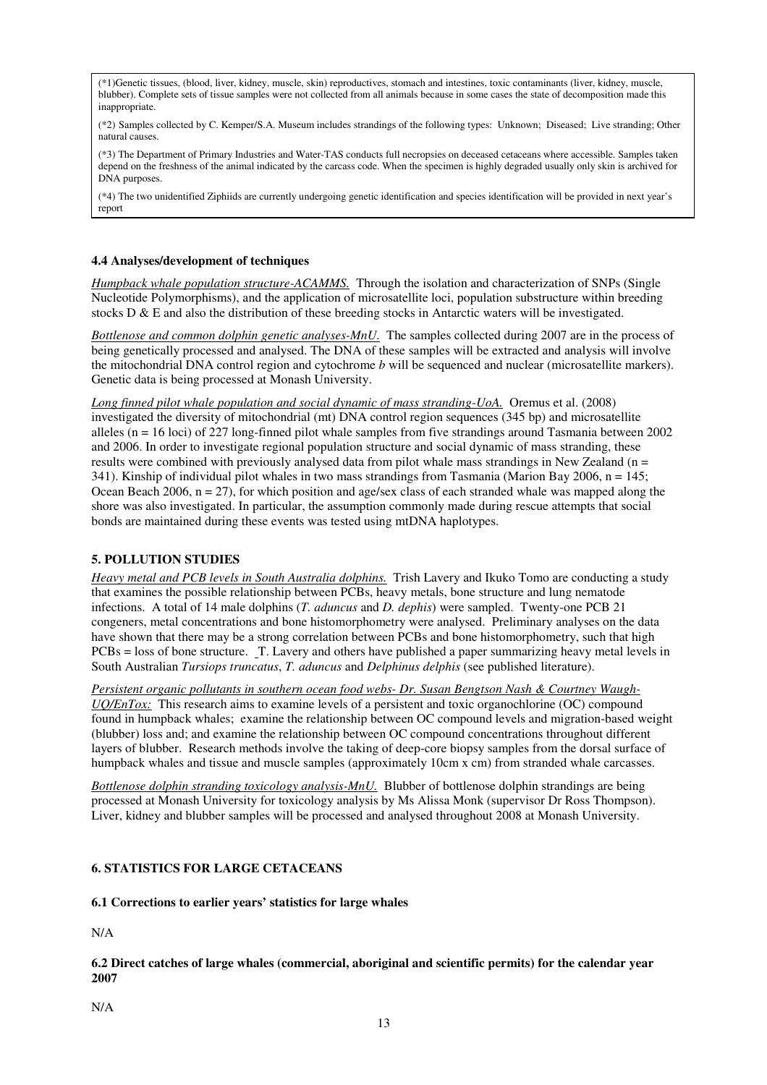(\*1)Genetic tissues, (blood, liver, kidney, muscle, skin) reproductives, stomach and intestines, toxic contaminants (liver, kidney, muscle, blubber). Complete sets of tissue samples were not collected from all animals because in some cases the state of decomposition made this inappropriate.

(\*2) Samples collected by C. Kemper/S.A. Museum includes strandings of the following types: Unknown; Diseased; Live stranding; Other natural causes.

(\*3) The Department of Primary Industries and Water-TAS conducts full necropsies on deceased cetaceans where accessible. Samples taken depend on the freshness of the animal indicated by the carcass code. When the specimen is highly degraded usually only skin is archived for DNA purposes.

(\*4) The two unidentified Ziphiids are currently undergoing genetic identification and species identification will be provided in next year's report

### **4.4 Analyses/development of techniques**

*Humpback whale population structure-ACAMMS.* Through the isolation and characterization of SNPs (Single Nucleotide Polymorphisms), and the application of microsatellite loci, population substructure within breeding stocks  $D \& E$  and also the distribution of these breeding stocks in Antarctic waters will be investigated.

*Bottlenose and common dolphin genetic analyses-MnU.* The samples collected during 2007 are in the process of being genetically processed and analysed. The DNA of these samples will be extracted and analysis will involve the mitochondrial DNA control region and cytochrome *b* will be sequenced and nuclear (microsatellite markers). Genetic data is being processed at Monash University.

*Long finned pilot whale population and social dynamic of mass stranding-UoA.* Oremus et al. (2008) investigated the diversity of mitochondrial (mt) DNA control region sequences (345 bp) and microsatellite alleles ( $n = 16$  loci) of 227 long-finned pilot whale samples from five strandings around Tasmania between 2002 and 2006. In order to investigate regional population structure and social dynamic of mass stranding, these results were combined with previously analysed data from pilot whale mass strandings in New Zealand ( $n =$ 341). Kinship of individual pilot whales in two mass strandings from Tasmania (Marion Bay 2006,  $n = 145$ ; Ocean Beach 2006,  $n = 27$ ), for which position and age/sex class of each stranded whale was mapped along the shore was also investigated. In particular, the assumption commonly made during rescue attempts that social bonds are maintained during these events was tested using mtDNA haplotypes.

# **5. POLLUTION STUDIES**

*Heavy metal and PCB levels in South Australia dolphins.* Trish Lavery and Ikuko Tomo are conducting a study that examines the possible relationship between PCBs, heavy metals, bone structure and lung nematode infections. A total of 14 male dolphins (*T. aduncus* and *D. dephis*) were sampled. Twenty-one PCB 21 congeners, metal concentrations and bone histomorphometry were analysed. Preliminary analyses on the data have shown that there may be a strong correlation between PCBs and bone histomorphometry, such that high PCBs = loss of bone structure. T. Lavery and others have published a paper summarizing heavy metal levels in South Australian *Tursiops truncatus*, *T. aduncus* and *Delphinus delphis* (see published literature).

*Persistent organic pollutants in southern ocean food webs- Dr. Susan Bengtson Nash & Courtney Waugh-UQ/EnTox:* This research aims to examine levels of a persistent and toxic organochlorine (OC) compound found in humpback whales; examine the relationship between OC compound levels and migration-based weight (blubber) loss and; and examine the relationship between OC compound concentrations throughout different layers of blubber. Research methods involve the taking of deep-core biopsy samples from the dorsal surface of humpback whales and tissue and muscle samples (approximately 10cm x cm) from stranded whale carcasses.

*Bottlenose dolphin stranding toxicology analysis-MnU.* Blubber of bottlenose dolphin strandings are being processed at Monash University for toxicology analysis by Ms Alissa Monk (supervisor Dr Ross Thompson). Liver, kidney and blubber samples will be processed and analysed throughout 2008 at Monash University.

# **6. STATISTICS FOR LARGE CETACEANS**

#### **6.1 Corrections to earlier years' statistics for large whales**

N/A

# **6.2 Direct catches of large whales (commercial, aboriginal and scientific permits) for the calendar year 2007**

N/A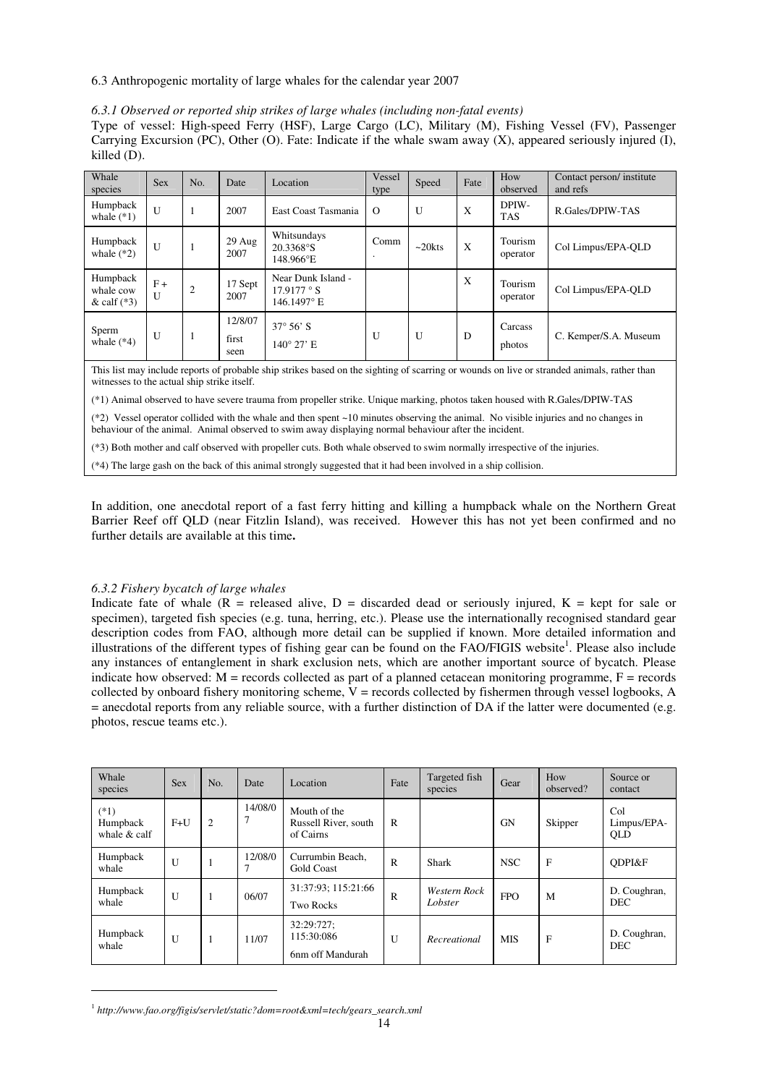#### 6.3 Anthropogenic mortality of large whales for the calendar year 2007

#### *6.3.1 Observed or reported ship strikes of large whales (including non-fatal events)*

Type of vessel: High-speed Ferry (HSF), Large Cargo (LC), Military (M), Fishing Vessel (FV), Passenger Carrying Excursion (PC), Other (O). Fate: Indicate if the whale swam away (X), appeared seriously injured (I), killed (D).

| Whale<br>species                       | <b>Sex</b> | No.            | Date                     | Location                                                | Vessel<br>type | Speed           | Fate | How<br>observed     | Contact person/ institute<br>and refs |
|----------------------------------------|------------|----------------|--------------------------|---------------------------------------------------------|----------------|-----------------|------|---------------------|---------------------------------------|
| Humpback<br>whale $(*1)$               | U          |                | 2007                     | East Coast Tasmania                                     | $\Omega$       | U               | X    | DPIW-<br><b>TAS</b> | R.Gales/DPIW-TAS                      |
| Humpback<br>whale $(*2)$               | U          |                | $29$ Aug<br>2007         | Whitsundays<br>20.3368°S<br>148.966°E                   | Comm           | $\sim$ 20 $kts$ | X    | Tourism<br>operator | Col Limpus/EPA-OLD                    |
| Humpback<br>whale cow<br>& calf $(*3)$ | $F +$<br>U | $\overline{2}$ | 17 Sept<br>2007          | Near Dunk Island -<br>$17.9177 \degree S$<br>146.1497°E |                |                 | X    | Tourism<br>operator | Col Limpus/EPA-QLD                    |
| Sperm<br>whale $(*4)$                  | U          |                | 12/8/07<br>first<br>seen | $37^{\circ} 56' S$<br>$140^{\circ}$ 27' E               | U              | U               | D    | Carcass<br>photos   | C. Kemper/S.A. Museum                 |

This list may include reports of probable ship strikes based on the sighting of scarring or wounds on live or stranded animals, rather than witnesses to the actual ship strike itself.

(\*1) Animal observed to have severe trauma from propeller strike. Unique marking, photos taken housed with R.Gales/DPIW-TAS

(\*2) Vessel operator collided with the whale and then spent ~10 minutes observing the animal. No visible injuries and no changes in behaviour of the animal. Animal observed to swim away displaying normal behaviour after the incident.

(\*3) Both mother and calf observed with propeller cuts. Both whale observed to swim normally irrespective of the injuries.

(\*4) The large gash on the back of this animal strongly suggested that it had been involved in a ship collision.

In addition, one anecdotal report of a fast ferry hitting and killing a humpback whale on the Northern Great Barrier Reef off QLD (near Fitzlin Island), was received. However this has not yet been confirmed and no further details are available at this time**.** 

#### *6.3.2 Fishery bycatch of large whales*

Indicate fate of whale  $(R =$  released alive,  $D =$  discarded dead or seriously injured,  $K =$  kept for sale or specimen), targeted fish species (e.g. tuna, herring, etc.). Please use the internationally recognised standard gear description codes from FAO, although more detail can be supplied if known. More detailed information and illustrations of the different types of fishing gear can be found on the FAO/FIGIS website<sup>1</sup>. Please also include any instances of entanglement in shark exclusion nets, which are another important source of bycatch. Please indicate how observed:  $M$  = records collected as part of a planned cetacean monitoring programme,  $F$  = records collected by onboard fishery monitoring scheme,  $V =$  records collected by fishermen through vessel logbooks, A = anecdotal reports from any reliable source, with a further distinction of DA if the latter were documented (e.g. photos, rescue teams etc.).

| Whale<br>species                     | <b>Sex</b> | No.            | Date         | Location                                          | Fate         | Targeted fish<br>species | Gear       | How<br>observed? | Source or<br>contact             |
|--------------------------------------|------------|----------------|--------------|---------------------------------------------------|--------------|--------------------------|------------|------------------|----------------------------------|
| $(*1)$<br>Humpback<br>whale $&$ calf | $F+U$      | $\overline{2}$ | 14/08/0<br>7 | Mouth of the<br>Russell River, south<br>of Cairns | $\mathbf R$  |                          | <b>GN</b>  | Skipper          | Col<br>Limpus/EPA-<br><b>OLD</b> |
| Humpback<br>whale                    | U          |                | 12/08/0      | Currumbin Beach.<br><b>Gold Coast</b>             | $\mathbb{R}$ | Shark                    | <b>NSC</b> | F                | ODPI&F                           |
| Humpback<br>whale                    | U          |                | 06/07        | 31:37:93: 115:21:66<br><b>Two Rocks</b>           | R            | Western Rock<br>Lobster  | <b>FPO</b> | M                | D. Coughran,<br><b>DEC</b>       |
| Humpback<br>whale                    | U          | 1              | 11/07        | 32:29:727;<br>115:30:086<br>6nm off Mandurah      | $\mathbf{U}$ | Recreational             | <b>MIS</b> | F                | D. Coughran,<br><b>DEC</b>       |

<sup>1</sup> *http://www.fao.org/figis/servlet/static?dom=root&xml=tech/gears\_search.xml*

 $\overline{a}$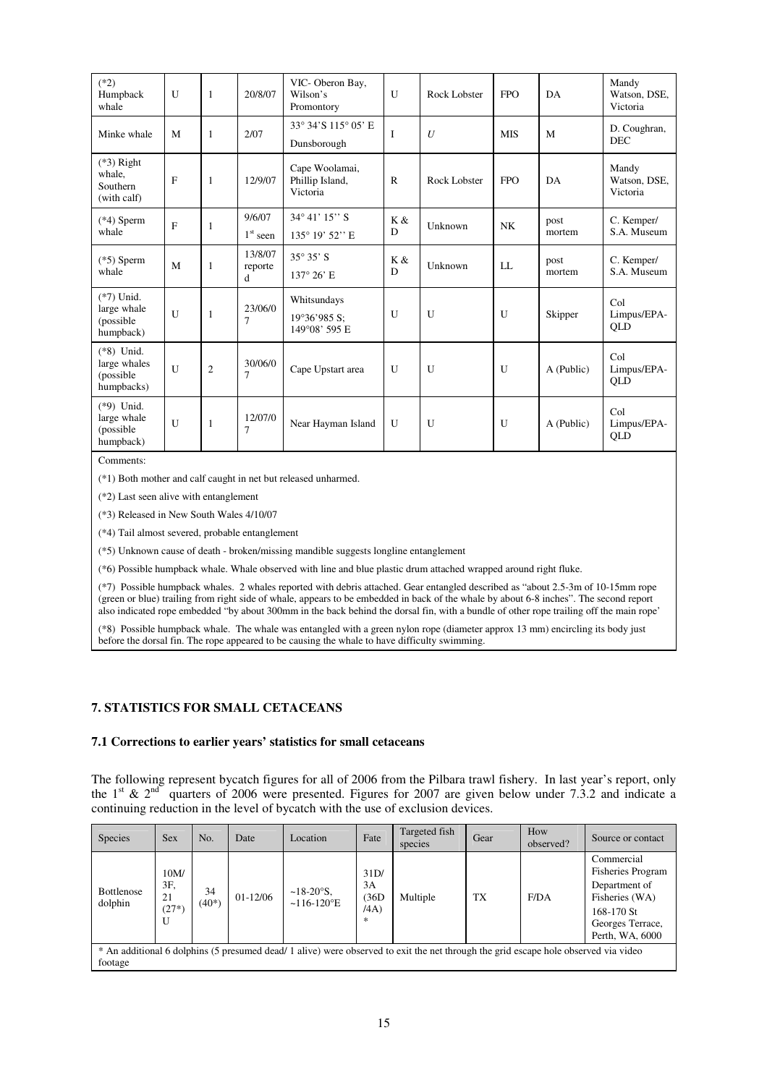| $(*2)$<br>Humpback<br>whale                              | $\mathbf{U}$ | 1              | 20/8/07                   | VIC-Oberon Bay,<br>Wilson's<br>Promontory     | U            | Rock Lobster     | <b>FPO</b>   | DA             | Mandy<br>Watson, DSE,<br>Victoria |
|----------------------------------------------------------|--------------|----------------|---------------------------|-----------------------------------------------|--------------|------------------|--------------|----------------|-----------------------------------|
| Minke whale                                              | M            | 1              | 2/07                      | 33° 34'S 115° 05' E<br>Dunsborough            | I            | $\boldsymbol{U}$ | <b>MIS</b>   | M              | D. Coughran,<br><b>DEC</b>        |
| $(*3)$ Right<br>whale,<br>Southern<br>(with calf)        | $\mathbf{F}$ | 1              | 12/9/07                   | Cape Woolamai,<br>Phillip Island,<br>Victoria | R            | Rock Lobster     | <b>FPO</b>   | DA             | Mandy<br>Watson, DSE,<br>Victoria |
| $(*4)$ Sperm<br>whale                                    | $\mathbf{F}$ | 1              | 9/6/07<br>$1st$ seen      | $34^{\circ} 41' 15'' S$<br>135° 19' 52" E     | K &<br>D     | Unknown          | <b>NK</b>    | post<br>mortem | C. Kemper/<br>S.A. Museum         |
| $(*5)$ Sperm<br>whale                                    | M            | 1              | 13/8/07<br>reporte<br>d   | $35^{\circ} 35' S$<br>$137^{\circ} 26' E$     | K &<br>D     | Unknown          | LL           | post<br>mortem | C. Kemper/<br>S.A. Museum         |
| $(*7)$ Unid.<br>large whale<br>(possible)<br>humpback)   | $\mathbf{U}$ | 1              | 23/06/0<br>7              | Whitsundays<br>19°36'985 S:<br>149°08' 595 E  | $\mathbf{U}$ | U                | $\mathbf{U}$ | Skipper        | Col<br>Limpus/EPA-<br>QLD         |
| $(*8)$ Unid.<br>large whales<br>(possible)<br>humpbacks) | $\mathbf{U}$ | $\mathfrak{2}$ | 30/06/0<br>7              | Cape Upstart area                             | $\mathbf{U}$ | U                | $\mathbf{U}$ | A (Public)     | Col<br>Limpus/EPA-<br>QLD         |
| $(*9)$ Unid.<br>large whale<br>(possible)<br>humpback)   | U            | 1              | 12/07/0<br>$\overline{7}$ | Near Hayman Island                            | U            | U                | U            | A (Public)     | Col<br>Limpus/EPA-<br>QLD         |

Comments:

(\*1) Both mother and calf caught in net but released unharmed.

(\*2) Last seen alive with entanglement

(\*3) Released in New South Wales 4/10/07

(\*4) Tail almost severed, probable entanglement

(\*5) Unknown cause of death - broken/missing mandible suggests longline entanglement

(\*6) Possible humpback whale. Whale observed with line and blue plastic drum attached wrapped around right fluke.

(\*7) Possible humpback whales. 2 whales reported with debris attached. Gear entangled described as "about 2.5-3m of 10-15mm rope (green or blue) trailing from right side of whale, appears to be embedded in back of the whale by about 6-8 inches". The second report (green or blue) trailing from right side of whale, appears to be embedded in back of th also indicated rope embedded "by about 300mm in the back behind the dorsal fin, with a bundle of other rope trailing off the main rope'

(\*8) Possible humpback whale. The whale was entangled with a green nylon rope (diameter approx 13 mm) encircling its body just before the dorsal fin. The rope appeared to be causing the whale to have difficulty swimming.

#### **7. STATISTICS FOR SMALL CETACEANS**

#### **7.1 Corrections to earlier years' statistics for small cetaceans**

The following represent bycatch figures for all of 2006 from the Pilbara trawl fishery. In last year's report, only the 1<sup>st</sup> & 2<sup>nd</sup> quarters of 2006 were presented. Figures for 2007 are given below under 7.3.2 and indicate a continuing reduction in the level of bycatch with the use of exclusion devices.

| <b>Species</b>               | <b>Sex</b>   | No.           | Date       | Location                                  | Fate       | Targeted fish<br>species                                                                                                            | Gear      | How<br>observed? | Source or contact                      |
|------------------------------|--------------|---------------|------------|-------------------------------------------|------------|-------------------------------------------------------------------------------------------------------------------------------------|-----------|------------------|----------------------------------------|
|                              | 10M/<br>3F,  |               |            |                                           | 31D/<br>3A |                                                                                                                                     |           |                  | Commercial<br><b>Fisheries Program</b> |
| <b>Bottlenose</b><br>dolphin | 21           | 34<br>$(40*)$ | $01-12/06$ | $~18-20$ °S,<br>$~116-120$ <sup>o</sup> E | (36D)      | Multiple                                                                                                                            | <b>TX</b> | F/DA             | Department of<br>Fisheries (WA)        |
|                              | $(27*)$<br>U |               |            |                                           | (AA)<br>冰  |                                                                                                                                     |           |                  | 168-170 St<br>Georges Terrace,         |
|                              |              |               |            |                                           |            |                                                                                                                                     |           |                  | Perth, WA, 6000                        |
| footage                      |              |               |            |                                           |            | * An additional 6 dolphins (5 presumed dead/ 1 alive) were observed to exit the net through the grid escape hole observed via video |           |                  |                                        |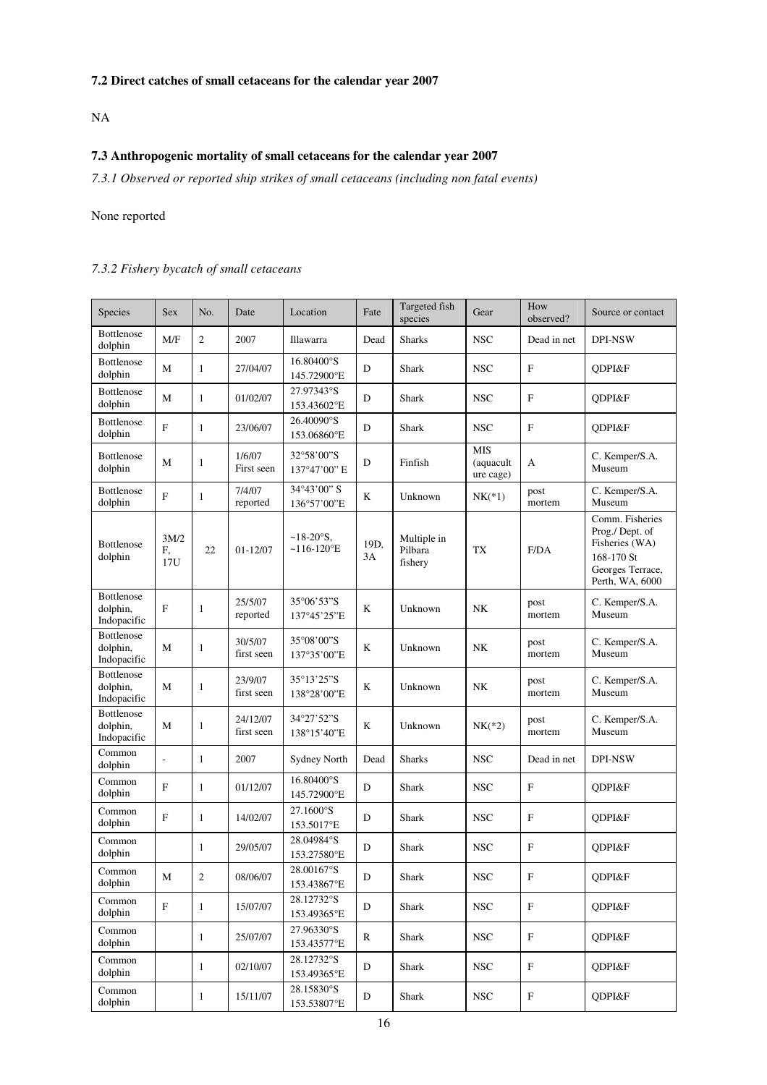# **7.2 Direct catches of small cetaceans for the calendar year 2007**

NA

# **7.3 Anthropogenic mortality of small cetaceans for the calendar year 2007**

*7.3.1 Observed or reported ship strikes of small cetaceans (including non fatal events)* 

# None reported

# *7.3.2 Fishery bycatch of small cetaceans*

| Species                                      | Sex               | No.            | Date                   | Location                                    | Fate       | Targeted fish<br>species          | Gear                                 | How<br>observed?          | Source or contact                                                                                        |
|----------------------------------------------|-------------------|----------------|------------------------|---------------------------------------------|------------|-----------------------------------|--------------------------------------|---------------------------|----------------------------------------------------------------------------------------------------------|
| Bottlenose<br>dolphin                        | M/F               | $\mathfrak{2}$ | 2007                   | Illawarra                                   | Dead       | <b>Sharks</b>                     | <b>NSC</b>                           | Dead in net               | <b>DPI-NSW</b>                                                                                           |
| Bottlenose<br>dolphin                        | M                 | 1              | 27/04/07               | 16.80400°S<br>145.72900°E                   | D          | <b>Shark</b>                      | <b>NSC</b>                           | $\boldsymbol{\mathrm{F}}$ | QDPI&F                                                                                                   |
| Bottlenose<br>dolphin                        | M                 | $\mathbf{1}$   | 01/02/07               | 27.97343°S<br>153.43602°E                   | D          | Shark                             | <b>NSC</b>                           | $\boldsymbol{\mathrm{F}}$ | QDPI&F                                                                                                   |
| Bottlenose<br>dolphin                        | F                 | 1              | 23/06/07               | 26.40090°S<br>153.06860°E                   | D          | Shark                             | <b>NSC</b>                           | $\boldsymbol{\mathrm{F}}$ | QDPI&F                                                                                                   |
| Bottlenose<br>dolphin                        | М                 | 1              | 1/6/07<br>First seen   | 32°58'00"S<br>137°47'00" E                  | D          | Finfish                           | <b>MIS</b><br>(aquacult<br>ure cage) | A                         | C. Kemper/S.A.<br>Museum                                                                                 |
| Bottlenose<br>dolphin                        | F                 | 1              | 7/4/07<br>reported     | 34°43'00" S<br>136°57'00"E                  | K          | Unknown                           | $NK(*1)$                             | post<br>mortem            | C. Kemper/S.A.<br>Museum                                                                                 |
| Bottlenose<br>dolphin                        | 3M/2<br>F,<br>17U | 22             | 01-12/07               | $~18 - 20$ °S,<br>$~116-120$ <sup>o</sup> E | 19D,<br>3A | Multiple in<br>Pilbara<br>fishery | TX                                   | F/DA                      | Comm. Fisheries<br>Prog./Dept. of<br>Fisheries (WA)<br>168-170 St<br>Georges Terrace,<br>Perth, WA, 6000 |
| Bottlenose<br>dolphin,<br>Indopacific        | F                 | 1              | 25/5/07<br>reported    | 35°06'53"S<br>137°45'25"E                   | K          | Unknown                           | NK                                   | post<br>mortem            | C. Kemper/S.A.<br>Museum                                                                                 |
| Bottlenose<br>dolphin,<br>Indopacific        | M                 | 1              | 30/5/07<br>first seen  | 35°08'00"S<br>137°35'00"E                   | K          | Unknown                           | NK                                   | post<br>mortem            | C. Kemper/S.A.<br>Museum                                                                                 |
| Bottlenose<br>dolphin,<br>Indopacific        | M                 | 1              | 23/9/07<br>first seen  | 35°13'25"S<br>138°28'00"E                   | K          | Unknown                           | NK                                   | post<br>mortem            | C. Kemper/S.A.<br>Museum                                                                                 |
| <b>Bottlenose</b><br>dolphin,<br>Indopacific | M                 | $\mathbf{1}$   | 24/12/07<br>first seen | 34°27'52"S<br>138°15'40"E                   | K          | Unknown                           | $NK(*2)$                             | post<br>mortem            | C. Kemper/S.A.<br>Museum                                                                                 |
| Common<br>dolphin                            |                   | $\mathbf{1}$   | 2007                   | <b>Sydney North</b>                         | Dead       | <b>Sharks</b>                     | <b>NSC</b>                           | Dead in net               | DPI-NSW                                                                                                  |
| Common<br>dolphin                            | $\mathbf F$       | $\mathbf{1}$   | 01/12/07               | 16.80400°S<br>145.72900°E                   | D          | Shark                             | <b>NSC</b>                           | $\boldsymbol{\mathrm{F}}$ | QDPI&F                                                                                                   |
| Common<br>dolphin                            | F                 | 1              | 14/02/07               | 27.1600°S<br>153.5017°E                     | D          | Shark                             | <b>NSC</b>                           | $\boldsymbol{\mathrm{F}}$ | ODPI&F                                                                                                   |
| Common<br>dolphin                            |                   | 1              | 29/05/07               | 28.04984°S<br>153.27580°E                   | D          | Shark                             | <b>NSC</b>                           | $\boldsymbol{\mathrm{F}}$ | ODPI&F                                                                                                   |
| Common<br>dolphin                            | М                 | 2              | 08/06/07               | 28.00167°S<br>153.43867°E                   | D          | Shark                             | <b>NSC</b>                           | F                         | QDPI&F                                                                                                   |
| Common<br>dolphin                            | ${\bf F}$         | $\mathbf{1}$   | 15/07/07               | 28.12732°S<br>153.49365°E                   | D          | Shark                             | $_{\rm NSC}$                         | ${\bf F}$                 | QDPI&F                                                                                                   |
| Common<br>dolphin                            |                   | $\mathbf{1}$   | 25/07/07               | 27.96330°S<br>153.43577°E                   | R          | Shark                             | <b>NSC</b>                           | F                         | QDPI&F                                                                                                   |
| Common<br>dolphin                            |                   | $\mathbf{1}$   | 02/10/07               | 28.12732°S<br>153.49365°E                   | D          | Shark                             | <b>NSC</b>                           | F                         | QDPI&F                                                                                                   |
| Common<br>dolphin                            |                   | $\mathbf{1}$   | 15/11/07               | 28.15830°S<br>153.53807°E                   | D          | Shark                             | <b>NSC</b>                           | ${\bf F}$                 | QDPI&F                                                                                                   |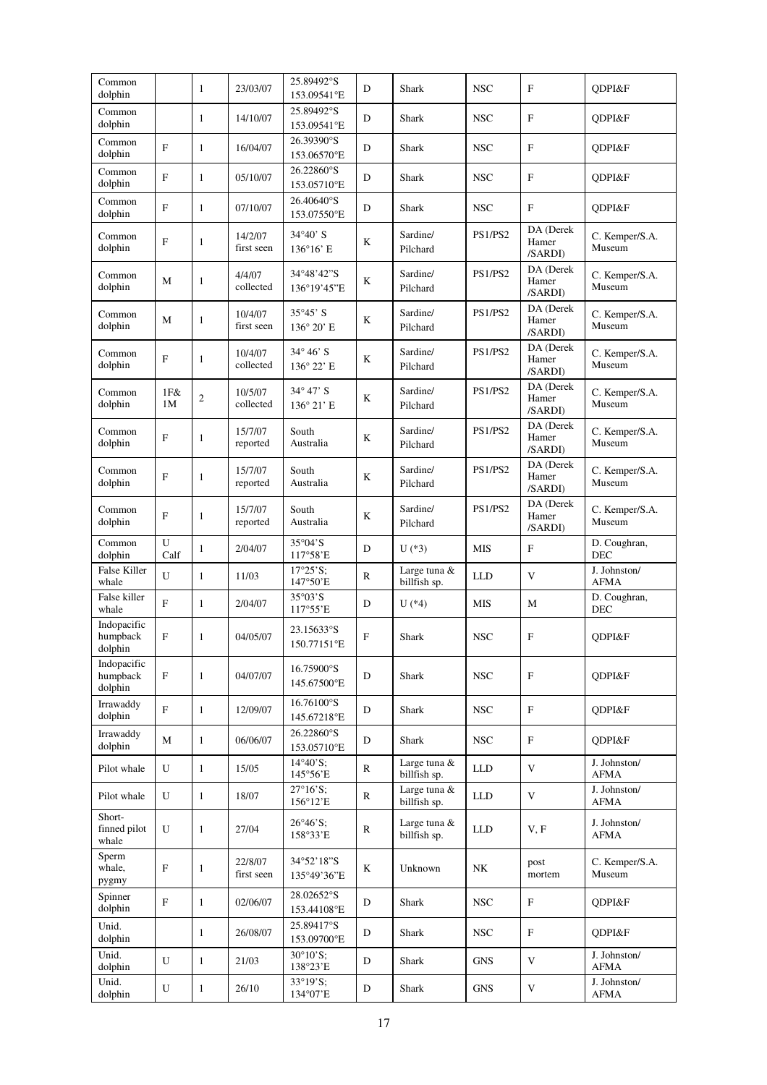| Common<br>dolphin                  |              | $\mathbf{1}$   | 23/03/07              | 25.89492°S<br>153.09541°E                 | D            | Shark                        | <b>NSC</b> | $\mathbf{F}$                  | ODPI&F                      |
|------------------------------------|--------------|----------------|-----------------------|-------------------------------------------|--------------|------------------------------|------------|-------------------------------|-----------------------------|
| Common<br>dolphin                  |              | 1              | 14/10/07              | 25.89492°S<br>153.09541°E                 | D            | Shark                        | <b>NSC</b> | $\mathbf{F}$                  | QDPI&F                      |
| Common<br>dolphin                  | F            | 1              | 16/04/07              | 26.39390°S<br>153.06570°E                 | D            | Shark                        | <b>NSC</b> | $\mathbf{F}$                  | ODPI&F                      |
| Common<br>dolphin                  | F            | $\mathbf{1}$   | 05/10/07              | 26.22860°S<br>153.05710°E                 | D            | Shark                        | <b>NSC</b> | $\mathbf{F}$                  | QDPI&F                      |
| Common<br>dolphin                  | F            | 1              | 07/10/07              | 26.40640°S<br>153.07550°E                 | D            | Shark                        | <b>NSC</b> | $\mathbf{F}$                  | QDPI&F                      |
| Common<br>dolphin                  | F            | 1              | 14/2/07<br>first seen | $34^{\circ}40'$ S<br>$136^{\circ}16$ ' E  | K            | Sardine/<br>Pilchard         | PS1/PS2    | DA (Derek<br>Hamer<br>/SARDI) | C. Kemper/S.A.<br>Museum    |
| Common<br>dolphin                  | М            | 1              | 4/4/07<br>collected   | 34°48'42"S<br>136°19'45"E                 | K            | Sardine/<br>Pilchard         | PS1/PS2    | DA (Derek<br>Hamer<br>/SARDI) | C. Kemper/S.A.<br>Museum    |
| Common<br>dolphin                  | M            | 1              | 10/4/07<br>first seen | $35^{\circ}45'$ S<br>$136^{\circ} 20'$ E  | K            | Sardine/<br>Pilchard         | PS1/PS2    | DA (Derek<br>Hamer<br>/SARDI) | C. Kemper/S.A.<br>Museum    |
| Common<br>dolphin                  | F            | 1              | 10/4/07<br>collected  | $34^{\circ} 46' S$<br>$136^{\circ} 22' E$ | $\bf K$      | Sardine/<br>Pilchard         | PS1/PS2    | DA (Derek<br>Hamer<br>/SARDI) | C. Kemper/S.A.<br>Museum    |
| Common<br>dolphin                  | 1F&8<br>1M   | $\overline{c}$ | 10/5/07<br>collected  | $34^{\circ} 47' S$<br>$136^{\circ} 21' E$ | K            | Sardine/<br>Pilchard         | PS1/PS2    | DA (Derek<br>Hamer<br>/SARDI) | C. Kemper/S.A.<br>Museum    |
| Common<br>dolphin                  | F            | 1              | 15/7/07<br>reported   | South<br>Australia                        | $\bf K$      | Sardine/<br>Pilchard         | PS1/PS2    | DA (Derek<br>Hamer<br>/SARDI) | C. Kemper/S.A.<br>Museum    |
| Common<br>dolphin                  | F            | 1              | 15/7/07<br>reported   | South<br>Australia                        | K            | Sardine/<br>Pilchard         | PS1/PS2    | DA (Derek<br>Hamer<br>/SARDI) | C. Kemper/S.A.<br>Museum    |
| Common<br>dolphin                  | F            | 1              | 15/7/07<br>reported   | South<br>Australia                        | $\bf K$      | Sardine/<br>Pilchard         | PS1/PS2    | DA (Derek<br>Hamer<br>/SARDI) | C. Kemper/S.A.<br>Museum    |
| Common<br>dolphin                  | U<br>Calf    | 1              | 2/04/07               | $35^{\circ}04^{\circ}S$<br>117°58'E       | D            | $U$ (*3)                     | <b>MIS</b> | $\mathbf F$                   | D. Coughran,<br><b>DEC</b>  |
| False Killer<br>whale              | U            | 1              | 11/03                 | $17°25'S$ ;<br>147°50'E                   | $\mathbb{R}$ | Large tuna &<br>billfish sp. | <b>LLD</b> | V                             | J. Johnston/<br><b>AFMA</b> |
| False killer<br>whale              | $\mathbf{F}$ | 1              | 2/04/07               | $35^{\circ}03^{\circ}S$<br>117°55'E       | D            | $U$ (*4)                     | <b>MIS</b> | М                             | D. Coughran,<br>DEC         |
| Indopacific<br>humpback<br>dolphin | F            | 1              | 04/05/07              | 23.15633°S<br>150.77151°E                 | F            | Shark                        | <b>NSC</b> | $\mathbf F$                   | QDPI&F                      |
| Indopacific<br>humpback<br>dolphin | F            | 1              | 04/07/07              | 16.75900°S<br>145.67500°E                 | D            | Shark                        | <b>NSC</b> | $\mathbf F$                   | ODPI&F                      |
| Irrawaddy<br>dolphin               | $\mathbf{F}$ | $\mathbf{1}$   | 12/09/07              | 16.76100°S<br>145.67218°E                 | D            | Shark                        | <b>NSC</b> | $\mathbf F$                   | QDPI&F                      |
| Irrawaddy<br>dolphin               | М            | $\mathbf{1}$   | 06/06/07              | 26.22860°S<br>153.05710°E                 | D            | Shark                        | <b>NSC</b> | $\mathbf F$                   | ODPI&F                      |
| Pilot whale                        | U            | $\mathbf{1}$   | 15/05                 | $14^{\circ}40^{\circ}S$ ;<br>145°56'E     | $\mathbb{R}$ | Large tuna &<br>billfish sp. | <b>LLD</b> | $\mathbf V$                   | J. Johnston/<br>AFMA        |
| Pilot whale                        | U            | $\mathbf{1}$   | 18/07                 | $27^{\circ}16^{\circ}S$ ;<br>156°12'E     | ${\bf R}$    | Large tuna &<br>billfish sp. | <b>LLD</b> | V                             | J. Johnston/<br><b>AFMA</b> |
| Short-<br>finned pilot<br>whale    | U            | 1              | 27/04                 | $26^{\circ}46^{\circ}S$ ;<br>158°33'E     | ${\bf R}$    | Large tuna &<br>billfish sp. | <b>LLD</b> | V, F                          | J. Johnston/<br><b>AFMA</b> |
| Sperm<br>whale,<br>pygmy           | $\mathbf F$  | 1              | 22/8/07<br>first seen | 34°52'18"S<br>135°49'36"E                 | K            | Unknown                      | NK         | post<br>mortem                | C. Kemper/S.A.<br>Museum    |
| Spinner<br>dolphin                 | $\mathbf F$  | 1              | 02/06/07              | 28.02652°S<br>153.44108°E                 | D            | Shark                        | <b>NSC</b> | $\boldsymbol{\mathrm{F}}$     | QDPI&F                      |
| Unid.<br>dolphin                   |              | $\mathbf{1}$   | 26/08/07              | 25.89417°S<br>153.09700°E                 | D            | Shark                        | <b>NSC</b> | $\boldsymbol{\mathrm{F}}$     | QDPI&F                      |
| Unid.                              |              |                |                       | $30^{\circ}10^{\circ}$ S;                 |              |                              |            |                               | J. Johnston/                |
| dolphin<br>Unid.                   | U            | 1              | 21/03                 | 138°23'E<br>33°19'S:                      | D            | Shark                        | <b>GNS</b> | $\mathbf V$                   | <b>AFMA</b><br>J. Johnston/ |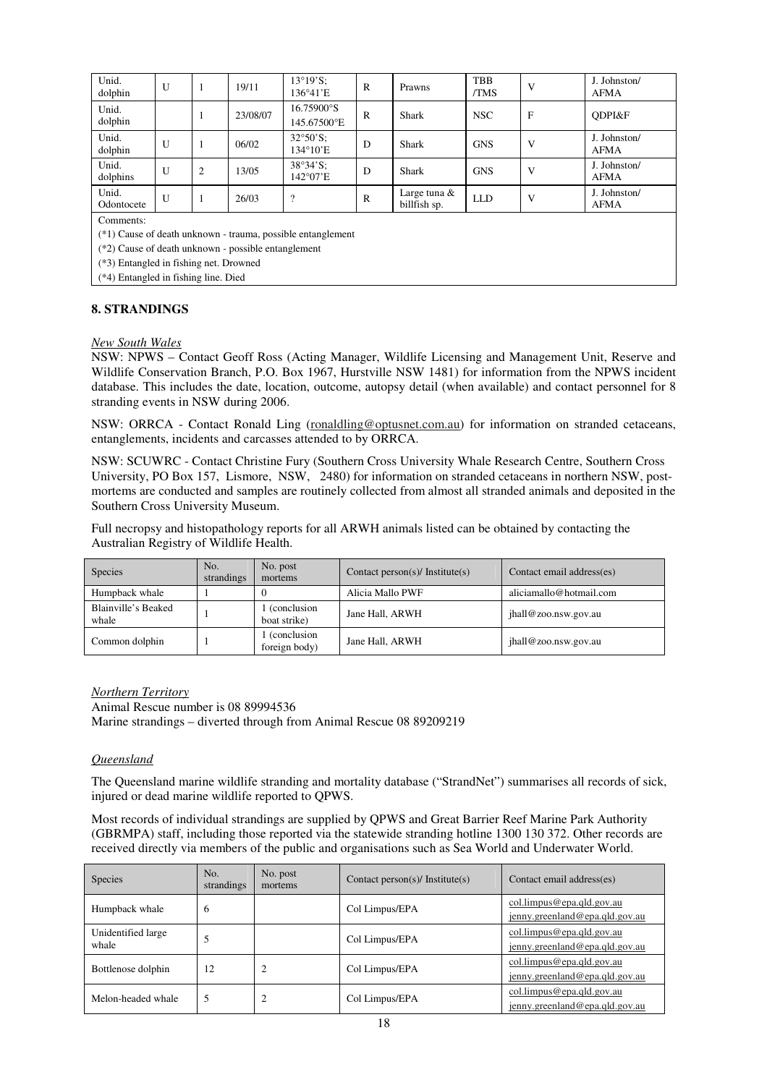| Unid.<br>dolphin                                              | U            |                | 19/11    | $13^{\circ}19^{\circ}S$ :<br>136°41'E | $\mathbb{R}$ | Prawns                          | <b>TBB</b><br>/TMS | V | J. Johnston/<br><b>AFMA</b> |
|---------------------------------------------------------------|--------------|----------------|----------|---------------------------------------|--------------|---------------------------------|--------------------|---|-----------------------------|
| Unid.<br>dolphin                                              |              |                | 23/08/07 | 16.75900°S<br>145.67500°E             | $\mathbb{R}$ | Shark                           | <b>NSC</b>         | F | ODPI&F                      |
| Unid.<br>dolphin                                              | U            |                | 06/02    | $32^{\circ}50^{\circ}S$ :<br>134°10'E | D            | Shark                           | <b>GNS</b>         | V | J. Johnston/<br><b>AFMA</b> |
| Unid.<br>dolphins                                             | U            | $\mathfrak{2}$ | 13/05    | $38°34'$ S:<br>142°07'E               | D            | Shark                           | <b>GNS</b>         | V | J. Johnston/<br><b>AFMA</b> |
| Unid.<br>Odontocete                                           | $\mathbf{U}$ |                | 26/03    | $\overline{\mathcal{L}}$              | $\mathsf{R}$ | Large tuna $\&$<br>billfish sp. | <b>LLD</b>         | V | J. Johnston/<br><b>AFMA</b> |
| Comments:                                                     |              |                |          |                                       |              |                                 |                    |   |                             |
| $(*1)$ Cause of death unknown - trauma, possible entanglement |              |                |          |                                       |              |                                 |                    |   |                             |
| $(*2)$ Cause of death unknown - possible entanglement         |              |                |          |                                       |              |                                 |                    |   |                             |
| $(*3)$ Entangled in fishing net. Drowned                      |              |                |          |                                       |              |                                 |                    |   |                             |

(\*4) Entangled in fishing line. Died

# **8. STRANDINGS**

#### *New South Wales*

NSW: NPWS – Contact Geoff Ross (Acting Manager, Wildlife Licensing and Management Unit, Reserve and Wildlife Conservation Branch, P.O. Box 1967, Hurstville NSW 1481) for information from the NPWS incident database. This includes the date, location, outcome, autopsy detail (when available) and contact personnel for 8 stranding events in NSW during 2006.

NSW: ORRCA - Contact Ronald Ling (ronaldling@optusnet.com.au) for information on stranded cetaceans, entanglements, incidents and carcasses attended to by ORRCA.

NSW: SCUWRC - Contact Christine Fury (Southern Cross University Whale Research Centre, Southern Cross University, PO Box 157, Lismore, NSW, 2480) for information on stranded cetaceans in northern NSW, postmortems are conducted and samples are routinely collected from almost all stranded animals and deposited in the Southern Cross University Museum.

Full necropsy and histopathology reports for all ARWH animals listed can be obtained by contacting the Australian Registry of Wildlife Health.

| <b>Species</b>               | No.<br>strandings | No. post<br>mortems            | Contact person(s)/ Institute(s) | Contact email address(es) |
|------------------------------|-------------------|--------------------------------|---------------------------------|---------------------------|
| Humpback whale               |                   |                                | Alicia Mallo PWF                | aliciamallo@hotmail.com   |
| Blainville's Beaked<br>whale |                   | 1 (conclusion<br>boat strike)  | Jane Hall, ARWH                 | jhall@zoo.nsw.gov.au      |
| Common dolphin               |                   | 1 (conclusion<br>foreign body) | Jane Hall, ARWH                 | jhall@zoo.nsw.gov.au      |

*Northern Territory* Animal Rescue number is 08 89994536 Marine strandings – diverted through from Animal Rescue 08 89209219

#### *Queensland*

The Queensland marine wildlife stranding and mortality database ("StrandNet") summarises all records of sick, injured or dead marine wildlife reported to QPWS.

Most records of individual strandings are supplied by QPWS and Great Barrier Reef Marine Park Authority (GBRMPA) staff, including those reported via the statewide stranding hotline 1300 130 372. Other records are received directly via members of the public and organisations such as Sea World and Underwater World.

| <b>Species</b>              | No.<br>strandings | No. post<br>mortems | Contact person(s)/ Institute(s) | Contact email address(es)                                   |
|-----------------------------|-------------------|---------------------|---------------------------------|-------------------------------------------------------------|
| Humpback whale              | 6                 |                     | Col Limpus/EPA                  | col.limpus@epa.qld.gov.au<br>jenny.greenland@epa.qld.gov.au |
| Unidentified large<br>whale | 5                 |                     | Col Limpus/EPA                  | col.limpus@epa.qld.gov.au<br>jenny.greenland@epa.qld.gov.au |
| Bottlenose dolphin          | 12                |                     | Col Limpus/EPA                  | col.limpus@epa.qld.gov.au<br>jenny.greenland@epa.qld.gov.au |
| Melon-headed whale          | 5                 |                     | Col Limpus/EPA                  | col.limpus@epa.qld.gov.au<br>jenny.greenland@epa.qld.gov.au |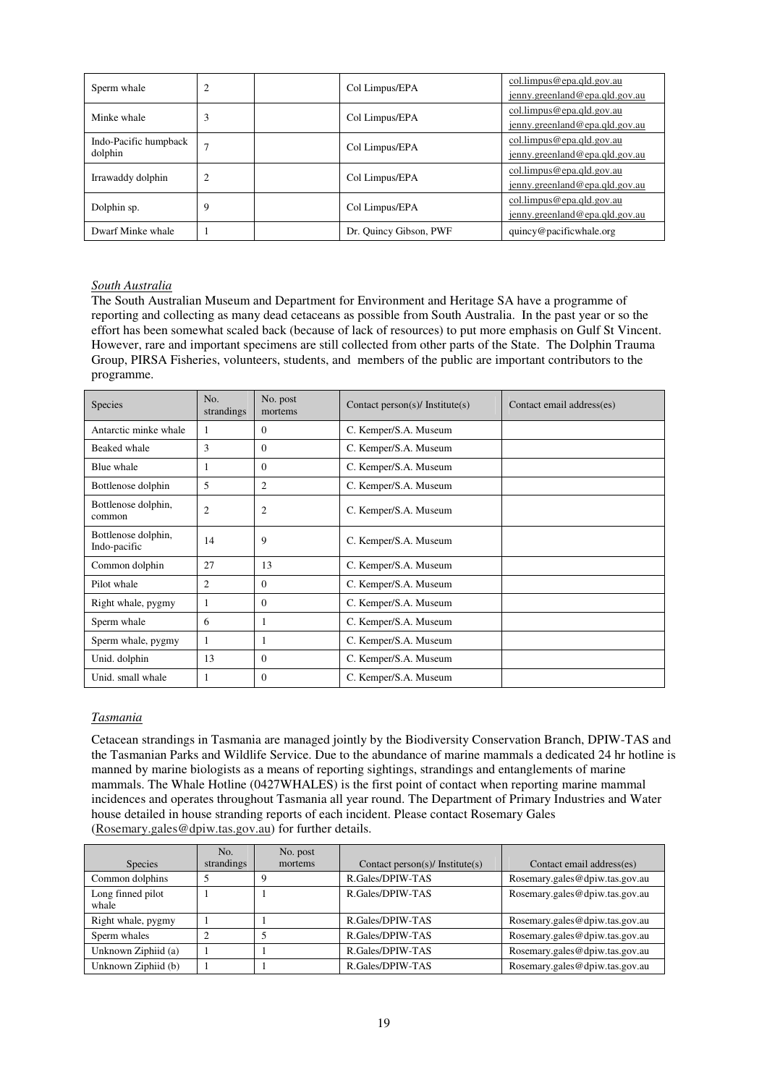| Sperm whale                      | 2 | Col Limpus/EPA         | col.limpus@epa.qld.gov.au<br>jenny.greenland@epa.qld.gov.au |
|----------------------------------|---|------------------------|-------------------------------------------------------------|
| Minke whale                      | 3 | Col Limpus/EPA         | col.limpus@epa.qld.gov.au<br>jenny.greenland@epa.qld.gov.au |
| Indo-Pacific humpback<br>dolphin |   | Col Limpus/EPA         | col.limpus@epa.qld.gov.au<br>jenny.greenland@epa.qld.gov.au |
| Irrawaddy dolphin                | 2 | Col Limpus/EPA         | col.limpus@epa.qld.gov.au<br>jenny.greenland@epa.qld.gov.au |
| Dolphin sp.                      | 9 | Col Limpus/EPA         | col.limpus@epa.qld.gov.au<br>jenny.greenland@epa.qld.gov.au |
| Dwarf Minke whale                |   | Dr. Quincy Gibson, PWF | quincy@pacificwhale.org                                     |

#### *South Australia*

The South Australian Museum and Department for Environment and Heritage SA have a programme of reporting and collecting as many dead cetaceans as possible from South Australia. In the past year or so the effort has been somewhat scaled back (because of lack of resources) to put more emphasis on Gulf St Vincent. However, rare and important specimens are still collected from other parts of the State. The Dolphin Trauma Group, PIRSA Fisheries, volunteers, students, and members of the public are important contributors to the programme.

| Species                             | No.<br>strandings | No. post<br>mortems | Contact person(s)/ Institute(s) | Contact email address(es) |
|-------------------------------------|-------------------|---------------------|---------------------------------|---------------------------|
| Antarctic minke whale               |                   | $\Omega$            | C. Kemper/S.A. Museum           |                           |
| Beaked whale                        | 3                 | $\Omega$            | C. Kemper/S.A. Museum           |                           |
| Blue whale                          |                   | $\Omega$            | C. Kemper/S.A. Museum           |                           |
| Bottlenose dolphin                  | 5                 | $\overline{c}$      | C. Kemper/S.A. Museum           |                           |
| Bottlenose dolphin,<br>common       | $\overline{2}$    | 2                   | C. Kemper/S.A. Museum           |                           |
| Bottlenose dolphin,<br>Indo-pacific | 14                | 9                   | C. Kemper/S.A. Museum           |                           |
| Common dolphin                      | 27                | 13                  | C. Kemper/S.A. Museum           |                           |
| Pilot whale                         | 2                 | $\Omega$            | C. Kemper/S.A. Museum           |                           |
| Right whale, pygmy                  |                   | $\mathbf{0}$        | C. Kemper/S.A. Museum           |                           |
| Sperm whale                         | 6                 |                     | C. Kemper/S.A. Museum           |                           |
| Sperm whale, pygmy                  |                   |                     | C. Kemper/S.A. Museum           |                           |
| Unid. dolphin                       | 13                | $\overline{0}$      | C. Kemper/S.A. Museum           |                           |
| Unid. small whale                   |                   | $\Omega$            | C. Kemper/S.A. Museum           |                           |

# *Tasmania*

Cetacean strandings in Tasmania are managed jointly by the Biodiversity Conservation Branch, DPIW-TAS and the Tasmanian Parks and Wildlife Service. Due to the abundance of marine mammals a dedicated 24 hr hotline is manned by marine biologists as a means of reporting sightings, strandings and entanglements of marine mammals. The Whale Hotline (0427WHALES) is the first point of contact when reporting marine mammal incidences and operates throughout Tasmania all year round. The Department of Primary Industries and Water house detailed in house stranding reports of each incident. Please contact Rosemary Gales (Rosemary.gales@dpiw.tas.gov.au) for further details.

|                            | No.        | No. post |                                 |                                |
|----------------------------|------------|----------|---------------------------------|--------------------------------|
| <b>Species</b>             | strandings | mortems  | Contact person(s)/ Institute(s) | Contact email address(es)      |
| Common dolphins            |            |          | R.Gales/DPIW-TAS                | Rosemary.gales@dpiw.tas.gov.au |
| Long finned pilot<br>whale |            |          | R.Gales/DPIW-TAS                | Rosemary.gales@dpiw.tas.gov.au |
| Right whale, pygmy         |            |          | R.Gales/DPIW-TAS                | Rosemary.gales@dpiw.tas.gov.au |
| Sperm whales               |            |          | R.Gales/DPIW-TAS                | Rosemary.gales@dpiw.tas.gov.au |
| Unknown Ziphiid (a)        |            |          | R.Gales/DPIW-TAS                | Rosemary.gales@dpiw.tas.gov.au |
| Unknown Ziphiid (b)        |            |          | R.Gales/DPIW-TAS                | Rosemary.gales@dpiw.tas.gov.au |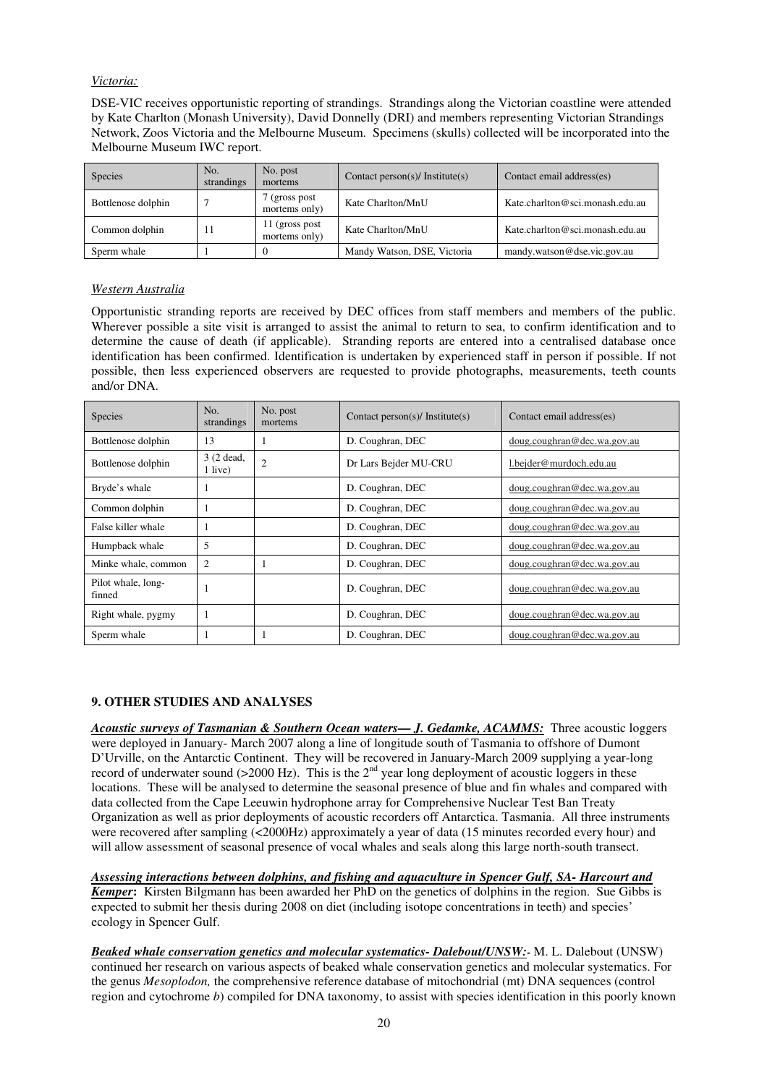# *Victoria:*

DSE-VIC receives opportunistic reporting of strandings. Strandings along the Victorian coastline were attended by Kate Charlton (Monash University), David Donnelly (DRI) and members representing Victorian Strandings Network, Zoos Victoria and the Melbourne Museum. Specimens (skulls) collected will be incorporated into the Melbourne Museum IWC report.

| Species            | No.<br>strandings | No. post<br>mortems              | Contact person(s)/ Institute(s) | Contact email address(es)       |
|--------------------|-------------------|----------------------------------|---------------------------------|---------------------------------|
| Bottlenose dolphin |                   | (gross post)<br>mortems only)    | Kate Charlton/MnU               | Kate.charlton@sci.monash.edu.au |
| Common dolphin     | 11                | 11 (gross post)<br>mortems only) | Kate Charlton/MnU               | Kate.charlton@sci.monash.edu.au |
| Sperm whale        |                   |                                  | Mandy Watson, DSE, Victoria     | mandy.watson@dse.vic.gov.au     |

# *Western Australia*

Opportunistic stranding reports are received by DEC offices from staff members and members of the public. Wherever possible a site visit is arranged to assist the animal to return to sea, to confirm identification and to determine the cause of death (if applicable). Stranding reports are entered into a centralised database once identification has been confirmed. Identification is undertaken by experienced staff in person if possible. If not possible, then less experienced observers are requested to provide photographs, measurements, teeth counts and/or DNA.

| <b>Species</b>               | No.<br>strandings      | No. post<br>mortems | Contact person(s)/ Institute(s) | Contact email address(es)   |
|------------------------------|------------------------|---------------------|---------------------------------|-----------------------------|
| Bottlenose dolphin           | 13                     |                     | D. Coughran, DEC                | doug.coughran@dec.wa.gov.au |
| Bottlenose dolphin           | $3(2$ dead,<br>1 live) | $\overline{2}$      | Dr Lars Bejder MU-CRU           | 1.bejder@murdoch.edu.au     |
| Bryde's whale                |                        |                     | D. Coughran, DEC                | doug.coughran@dec.wa.gov.au |
| Common dolphin               |                        |                     | D. Coughran, DEC                | doug.coughran@dec.wa.gov.au |
| False killer whale           |                        |                     | D. Coughran, DEC                | doug.coughran@dec.wa.gov.au |
| Humpback whale               | 5                      |                     | D. Coughran, DEC                | doug.coughran@dec.wa.gov.au |
| Minke whale, common          | 2                      |                     | D. Coughran, DEC                | doug.coughran@dec.wa.gov.au |
| Pilot whale, long-<br>finned |                        |                     | D. Coughran, DEC                | doug.coughran@dec.wa.gov.au |
| Right whale, pygmy           |                        |                     | D. Coughran, DEC                | doug.coughran@dec.wa.gov.au |
| Sperm whale                  |                        |                     | D. Coughran, DEC                | doug.coughran@dec.wa.gov.au |

#### **9. OTHER STUDIES AND ANALYSES**

*Acoustic surveys of Tasmanian & Southern Ocean waters— J. Gedamke, ACAMMS:* Three acoustic loggers were deployed in January- March 2007 along a line of longitude south of Tasmania to offshore of Dumont D'Urville, on the Antarctic Continent. They will be recovered in January-March 2009 supplying a year-long record of underwater sound ( $>$ 2000 Hz). This is the  $2<sup>nd</sup>$  year long deployment of acoustic loggers in these locations. These will be analysed to determine the seasonal presence of blue and fin whales and compared with data collected from the Cape Leeuwin hydrophone array for Comprehensive Nuclear Test Ban Treaty Organization as well as prior deployments of acoustic recorders off Antarctica. Tasmania. All three instruments were recovered after sampling (<2000Hz) approximately a year of data (15 minutes recorded every hour) and will allow assessment of seasonal presence of vocal whales and seals along this large north-south transect.

*Assessing interactions between dolphins, and fishing and aquaculture in Spencer Gulf, SA- Harcourt and Kemper***:** Kirsten Bilgmann has been awarded her PhD on the genetics of dolphins in the region. Sue Gibbs is expected to submit her thesis during 2008 on diet (including isotope concentrations in teeth) and species' ecology in Spencer Gulf.

*Beaked whale conservation genetics and molecular systematics- Dalebout/UNSW:***-** M. L. Dalebout (UNSW) continued her research on various aspects of beaked whale conservation genetics and molecular systematics. For the genus *Mesoplodon,* the comprehensive reference database of mitochondrial (mt) DNA sequences (control region and cytochrome *b*) compiled for DNA taxonomy, to assist with species identification in this poorly known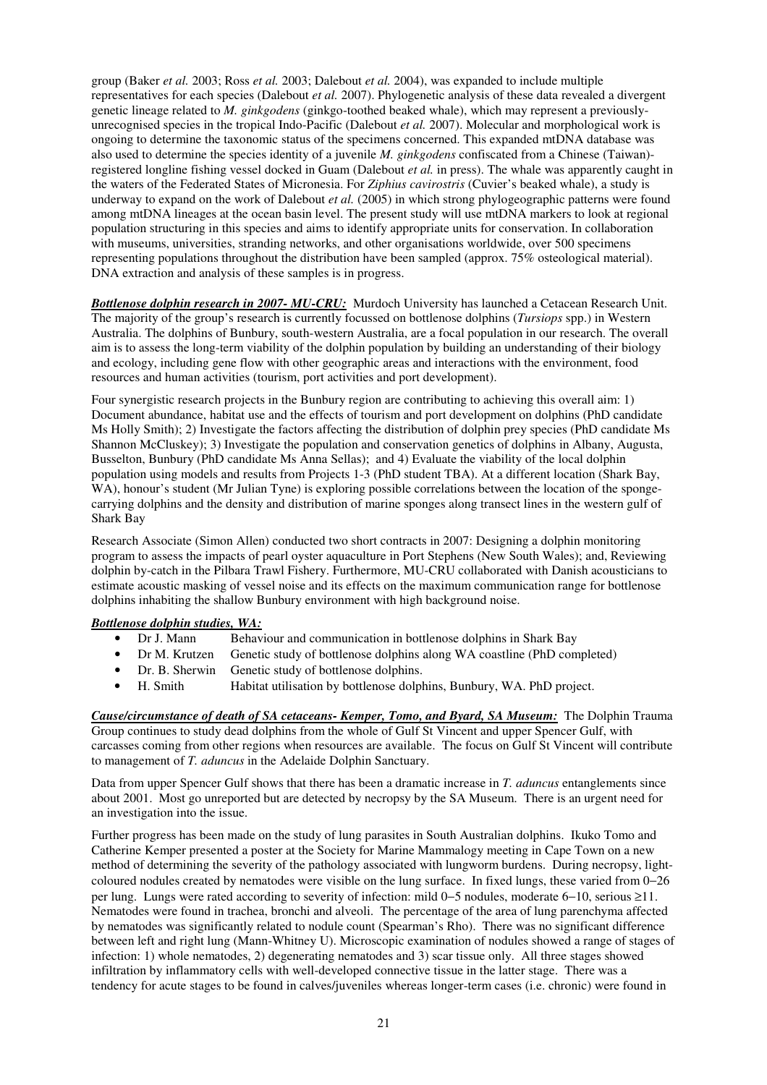group (Baker *et al.* 2003; Ross *et al.* 2003; Dalebout *et al.* 2004), was expanded to include multiple representatives for each species (Dalebout *et al.* 2007). Phylogenetic analysis of these data revealed a divergent genetic lineage related to *M. ginkgodens* (ginkgo-toothed beaked whale), which may represent a previouslyunrecognised species in the tropical Indo-Pacific (Dalebout *et al.* 2007). Molecular and morphological work is ongoing to determine the taxonomic status of the specimens concerned. This expanded mtDNA database was also used to determine the species identity of a juvenile *M. ginkgodens* confiscated from a Chinese (Taiwan) registered longline fishing vessel docked in Guam (Dalebout *et al.* in press). The whale was apparently caught in the waters of the Federated States of Micronesia. For *Ziphius cavirostris* (Cuvier's beaked whale), a study is underway to expand on the work of Dalebout *et al.* (2005) in which strong phylogeographic patterns were found among mtDNA lineages at the ocean basin level. The present study will use mtDNA markers to look at regional population structuring in this species and aims to identify appropriate units for conservation. In collaboration with museums, universities, stranding networks, and other organisations worldwide, over 500 specimens representing populations throughout the distribution have been sampled (approx. 75% osteological material). DNA extraction and analysis of these samples is in progress.

*Bottlenose dolphin research in 2007- MU-CRU:* Murdoch University has launched a Cetacean Research Unit. The majority of the group's research is currently focussed on bottlenose dolphins (*Tursiops* spp.) in Western Australia. The dolphins of Bunbury, south-western Australia, are a focal population in our research. The overall aim is to assess the long-term viability of the dolphin population by building an understanding of their biology and ecology, including gene flow with other geographic areas and interactions with the environment, food resources and human activities (tourism, port activities and port development).

Four synergistic research projects in the Bunbury region are contributing to achieving this overall aim: 1) Document abundance, habitat use and the effects of tourism and port development on dolphins (PhD candidate Ms Holly Smith); 2) Investigate the factors affecting the distribution of dolphin prey species (PhD candidate Ms Shannon McCluskey); 3) Investigate the population and conservation genetics of dolphins in Albany, Augusta, Busselton, Bunbury (PhD candidate Ms Anna Sellas); and 4) Evaluate the viability of the local dolphin population using models and results from Projects 1-3 (PhD student TBA). At a different location (Shark Bay, WA), honour's student (Mr Julian Tyne) is exploring possible correlations between the location of the spongecarrying dolphins and the density and distribution of marine sponges along transect lines in the western gulf of Shark Bay

Research Associate (Simon Allen) conducted two short contracts in 2007: Designing a dolphin monitoring program to assess the impacts of pearl oyster aquaculture in Port Stephens (New South Wales); and, Reviewing dolphin by-catch in the Pilbara Trawl Fishery. Furthermore, MU-CRU collaborated with Danish acousticians to estimate acoustic masking of vessel noise and its effects on the maximum communication range for bottlenose dolphins inhabiting the shallow Bunbury environment with high background noise.

# *Bottlenose dolphin studies, WA:*

- Dr J. Mann Behaviour and communication in bottlenose dolphins in Shark Bay
- Dr M. Krutzen Genetic study of bottlenose dolphins along WA coastline (PhD completed)
- Dr. B. Sherwin Genetic study of bottlenose dolphins.<br>
H. Smith Habitat utilisation by bottlenose dolph
- Habitat utilisation by bottlenose dolphins, Bunbury, WA. PhD project.

*Cause/circumstance of death of SA cetaceans- Kemper, Tomo, and Byard, SA Museum:* The Dolphin Trauma Group continues to study dead dolphins from the whole of Gulf St Vincent and upper Spencer Gulf, with carcasses coming from other regions when resources are available. The focus on Gulf St Vincent will contribute to management of *T. aduncus* in the Adelaide Dolphin Sanctuary.

Data from upper Spencer Gulf shows that there has been a dramatic increase in *T. aduncus* entanglements since about 2001. Most go unreported but are detected by necropsy by the SA Museum. There is an urgent need for an investigation into the issue.

Further progress has been made on the study of lung parasites in South Australian dolphins. Ikuko Tomo and Catherine Kemper presented a poster at the Society for Marine Mammalogy meeting in Cape Town on a new method of determining the severity of the pathology associated with lungworm burdens. During necropsy, lightcoloured nodules created by nematodes were visible on the lung surface. In fixed lungs, these varied from 0−26 per lung. Lungs were rated according to severity of infection: mild 0−5 nodules, moderate 6−10, serious ≥11. Nematodes were found in trachea, bronchi and alveoli. The percentage of the area of lung parenchyma affected by nematodes was significantly related to nodule count (Spearman's Rho). There was no significant difference between left and right lung (Mann-Whitney U). Microscopic examination of nodules showed a range of stages of infection: 1) whole nematodes, 2) degenerating nematodes and 3) scar tissue only. All three stages showed infiltration by inflammatory cells with well-developed connective tissue in the latter stage. There was a tendency for acute stages to be found in calves/juveniles whereas longer-term cases (i.e. chronic) were found in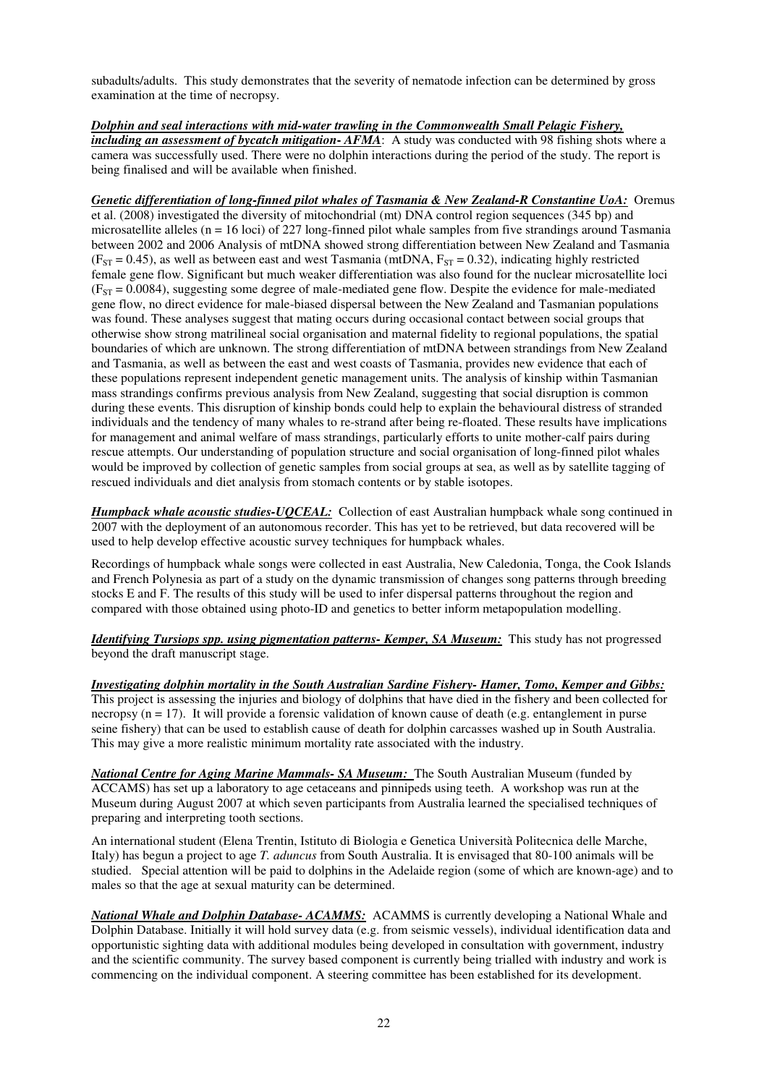subadults/adults. This study demonstrates that the severity of nematode infection can be determined by gross examination at the time of necropsy.

*Dolphin and seal interactions with mid-water trawling in the Commonwealth Small Pelagic Fishery, including an assessment of bycatch mitigation***-**  $AFMA$ : A study was conducted with 98 fishing shots where a camera was successfully used. There were no dolphin interactions during the period of the study. The report is being finalised and will be available when finished.

*Genetic differentiation of long-finned pilot whales of Tasmania & New Zealand-R Constantine UoA:* Oremus et al. (2008) investigated the diversity of mitochondrial (mt) DNA control region sequences (345 bp) and microsatellite alleles ( $n = 16$  loci) of 227 long-finned pilot whale samples from five strandings around Tasmania between 2002 and 2006 Analysis of mtDNA showed strong differentiation between New Zealand and Tasmania  $(F<sub>ST</sub> = 0.45)$ , as well as between east and west Tasmania (mtDNA,  $F<sub>ST</sub> = 0.32$ ), indicating highly restricted female gene flow. Significant but much weaker differentiation was also found for the nuclear microsatellite loci  $(F<sub>ST</sub> = 0.0084)$ , suggesting some degree of male-mediated gene flow. Despite the evidence for male-mediated gene flow, no direct evidence for male-biased dispersal between the New Zealand and Tasmanian populations was found. These analyses suggest that mating occurs during occasional contact between social groups that otherwise show strong matrilineal social organisation and maternal fidelity to regional populations, the spatial boundaries of which are unknown. The strong differentiation of mtDNA between strandings from New Zealand and Tasmania, as well as between the east and west coasts of Tasmania, provides new evidence that each of these populations represent independent genetic management units. The analysis of kinship within Tasmanian mass strandings confirms previous analysis from New Zealand, suggesting that social disruption is common during these events. This disruption of kinship bonds could help to explain the behavioural distress of stranded individuals and the tendency of many whales to re-strand after being re-floated. These results have implications for management and animal welfare of mass strandings, particularly efforts to unite mother-calf pairs during rescue attempts. Our understanding of population structure and social organisation of long-finned pilot whales would be improved by collection of genetic samples from social groups at sea, as well as by satellite tagging of rescued individuals and diet analysis from stomach contents or by stable isotopes.

*Humpback whale acoustic studies-UQCEAL:* Collection of east Australian humpback whale song continued in 2007 with the deployment of an autonomous recorder. This has yet to be retrieved, but data recovered will be used to help develop effective acoustic survey techniques for humpback whales.

Recordings of humpback whale songs were collected in east Australia, New Caledonia, Tonga, the Cook Islands and French Polynesia as part of a study on the dynamic transmission of changes song patterns through breeding stocks E and F. The results of this study will be used to infer dispersal patterns throughout the region and compared with those obtained using photo-ID and genetics to better inform metapopulation modelling.

*Identifying Tursiops spp. using pigmentation patterns- Kemper, SA Museum:* This study has not progressed beyond the draft manuscript stage.

*Investigating dolphin mortality in the South Australian Sardine Fishery- Hamer, Tomo, Kemper and Gibbs:*  This project is assessing the injuries and biology of dolphins that have died in the fishery and been collected for necropsy ( $n = 17$ ). It will provide a forensic validation of known cause of death (e.g. entanglement in purse seine fishery) that can be used to establish cause of death for dolphin carcasses washed up in South Australia. This may give a more realistic minimum mortality rate associated with the industry.

*National Centre for Aging Marine Mammals- SA Museum:* The South Australian Museum (funded by ACCAMS) has set up a laboratory to age cetaceans and pinnipeds using teeth. A workshop was run at the Museum during August 2007 at which seven participants from Australia learned the specialised techniques of preparing and interpreting tooth sections.

An international student (Elena Trentin, Istituto di Biologia e Genetica Università Politecnica delle Marche, Italy) has begun a project to age *T. aduncus* from South Australia. It is envisaged that 80-100 animals will be studied. Special attention will be paid to dolphins in the Adelaide region (some of which are known-age) and to males so that the age at sexual maturity can be determined.

*National Whale and Dolphin Database- ACAMMS:* ACAMMS is currently developing a National Whale and Dolphin Database. Initially it will hold survey data (e.g. from seismic vessels), individual identification data and opportunistic sighting data with additional modules being developed in consultation with government, industry and the scientific community. The survey based component is currently being trialled with industry and work is commencing on the individual component. A steering committee has been established for its development.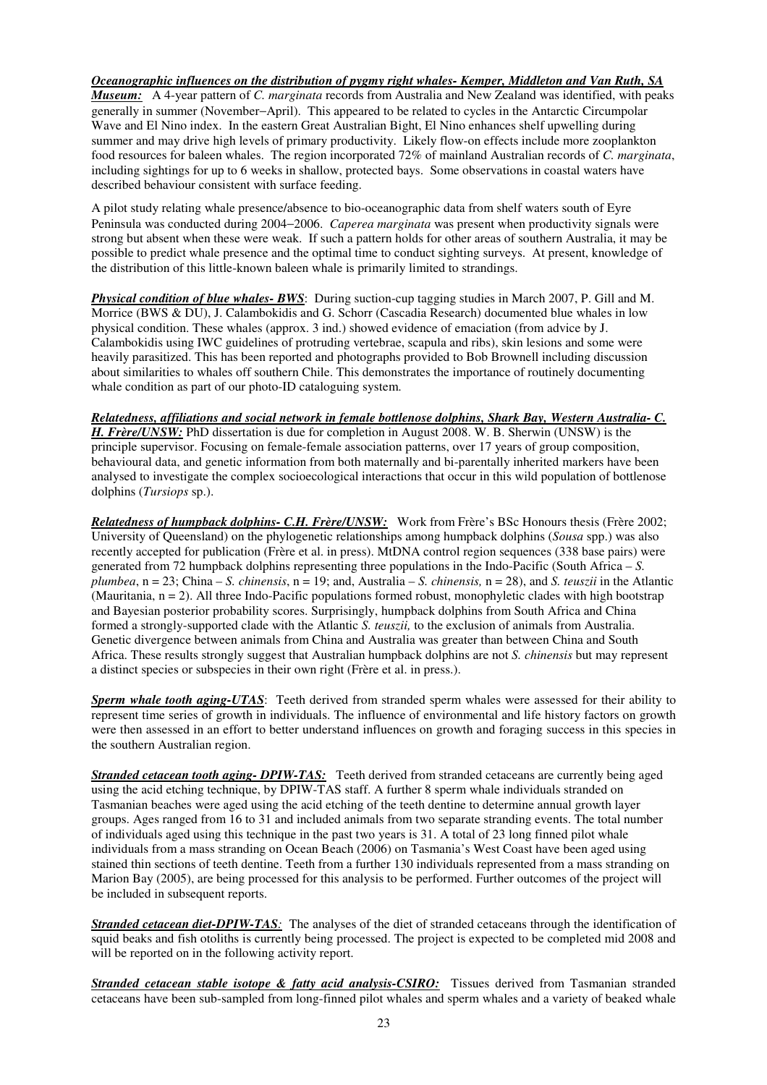# *Oceanographic influences on the distribution of pygmy right whales- Kemper, Middleton and Van Ruth, SA*

*Museum:* A 4-year pattern of *C. marginata* records from Australia and New Zealand was identified, with peaks generally in summer (November−April). This appeared to be related to cycles in the Antarctic Circumpolar Wave and El Nino index. In the eastern Great Australian Bight, El Nino enhances shelf upwelling during summer and may drive high levels of primary productivity. Likely flow-on effects include more zooplankton food resources for baleen whales. The region incorporated 72% of mainland Australian records of *C. marginata*, including sightings for up to 6 weeks in shallow, protected bays. Some observations in coastal waters have described behaviour consistent with surface feeding.

A pilot study relating whale presence/absence to bio-oceanographic data from shelf waters south of Eyre Peninsula was conducted during 2004−2006. *Caperea marginata* was present when productivity signals were strong but absent when these were weak. If such a pattern holds for other areas of southern Australia, it may be possible to predict whale presence and the optimal time to conduct sighting surveys. At present, knowledge of the distribution of this little-known baleen whale is primarily limited to strandings.

*Physical condition of blue whales- BWS*: During suction-cup tagging studies in March 2007, P. Gill and M. Morrice (BWS & DU), J. Calambokidis and G. Schorr (Cascadia Research) documented blue whales in low physical condition. These whales (approx. 3 ind.) showed evidence of emaciation (from advice by J. Calambokidis using IWC guidelines of protruding vertebrae, scapula and ribs), skin lesions and some were heavily parasitized. This has been reported and photographs provided to Bob Brownell including discussion about similarities to whales off southern Chile. This demonstrates the importance of routinely documenting whale condition as part of our photo-ID cataloguing system.

# *Relatedness, affiliations and social network in female bottlenose dolphins, Shark Bay, Western Australia- C.*

*H. Frère/UNSW:* PhD dissertation is due for completion in August 2008. W. B. Sherwin (UNSW) is the principle supervisor. Focusing on female-female association patterns, over 17 years of group composition, behavioural data, and genetic information from both maternally and bi-parentally inherited markers have been analysed to investigate the complex socioecological interactions that occur in this wild population of bottlenose dolphins (*Tursiops* sp.).

*Relatedness of humpback dolphins- C.H. Frère/UNSW:* Work from Frère's BSc Honours thesis (Frère 2002; University of Queensland) on the phylogenetic relationships among humpback dolphins (*Sousa* spp.) was also recently accepted for publication (Frère et al. in press). MtDNA control region sequences (338 base pairs) were generated from 72 humpback dolphins representing three populations in the Indo-Pacific (South Africa – *S. plumbea*, n = 23; China – *S. chinensis*, n = 19; and, Australia – *S. chinensis,* n = 28), and *S. teuszii* in the Atlantic (Mauritania,  $n = 2$ ). All three Indo-Pacific populations formed robust, monophyletic clades with high bootstrap and Bayesian posterior probability scores. Surprisingly, humpback dolphins from South Africa and China formed a strongly-supported clade with the Atlantic *S. teuszii,* to the exclusion of animals from Australia. Genetic divergence between animals from China and Australia was greater than between China and South Africa. These results strongly suggest that Australian humpback dolphins are not *S. chinensis* but may represent a distinct species or subspecies in their own right (Frère et al. in press.).

*Sperm whale tooth aging-UTAS*: Teeth derived from stranded sperm whales were assessed for their ability to represent time series of growth in individuals. The influence of environmental and life history factors on growth were then assessed in an effort to better understand influences on growth and foraging success in this species in the southern Australian region.

**Stranded cetacean tooth aging- DPIW-TAS:** Teeth derived from stranded cetaceans are currently being aged using the acid etching technique, by DPIW-TAS staff. A further 8 sperm whale individuals stranded on Tasmanian beaches were aged using the acid etching of the teeth dentine to determine annual growth layer groups. Ages ranged from 16 to 31 and included animals from two separate stranding events. The total number of individuals aged using this technique in the past two years is 31. A total of 23 long finned pilot whale individuals from a mass stranding on Ocean Beach (2006) on Tasmania's West Coast have been aged using stained thin sections of teeth dentine. Teeth from a further 130 individuals represented from a mass stranding on Marion Bay (2005), are being processed for this analysis to be performed. Further outcomes of the project will be included in subsequent reports.

*Stranded cetacean diet-DPIW-TAS:* The analyses of the diet of stranded cetaceans through the identification of squid beaks and fish otoliths is currently being processed. The project is expected to be completed mid 2008 and will be reported on in the following activity report.

*Stranded cetacean stable isotope & fatty acid analysis-CSIRO:* Tissues derived from Tasmanian stranded cetaceans have been sub-sampled from long-finned pilot whales and sperm whales and a variety of beaked whale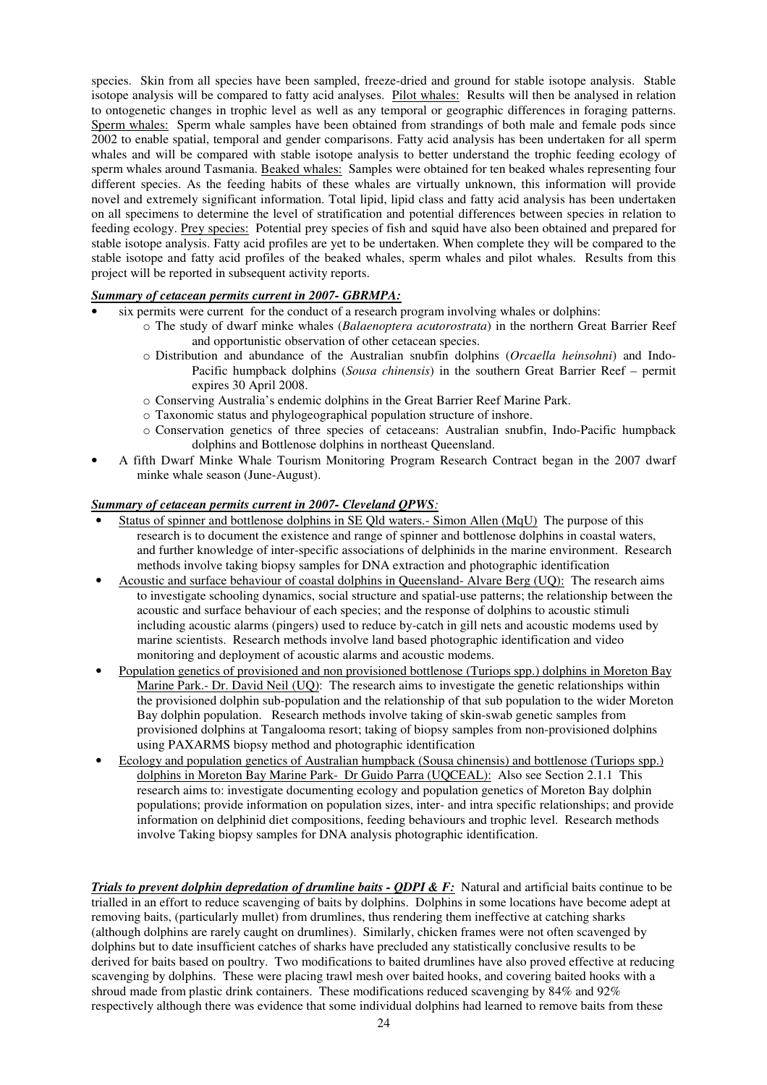species. Skin from all species have been sampled, freeze-dried and ground for stable isotope analysis. Stable isotope analysis will be compared to fatty acid analyses. Pilot whales: Results will then be analysed in relation to ontogenetic changes in trophic level as well as any temporal or geographic differences in foraging patterns. Sperm whales: Sperm whale samples have been obtained from strandings of both male and female pods since 2002 to enable spatial, temporal and gender comparisons. Fatty acid analysis has been undertaken for all sperm whales and will be compared with stable isotope analysis to better understand the trophic feeding ecology of sperm whales around Tasmania. Beaked whales: Samples were obtained for ten beaked whales representing four different species. As the feeding habits of these whales are virtually unknown, this information will provide novel and extremely significant information. Total lipid, lipid class and fatty acid analysis has been undertaken on all specimens to determine the level of stratification and potential differences between species in relation to feeding ecology. Prey species: Potential prey species of fish and squid have also been obtained and prepared for stable isotope analysis. Fatty acid profiles are yet to be undertaken. When complete they will be compared to the stable isotope and fatty acid profiles of the beaked whales, sperm whales and pilot whales. Results from this project will be reported in subsequent activity reports.

### *Summary of cetacean permits current in 2007- GBRMPA:*

- six permits were current for the conduct of a research program involving whales or dolphins:
	- o The study of dwarf minke whales (*Balaenoptera acutorostrata*) in the northern Great Barrier Reef and opportunistic observation of other cetacean species.
	- o Distribution and abundance of the Australian snubfin dolphins (*Orcaella heinsohni*) and Indo-Pacific humpback dolphins (*Sousa chinensis*) in the southern Great Barrier Reef – permit expires 30 April 2008.
	- o Conserving Australia's endemic dolphins in the Great Barrier Reef Marine Park.
	- o Taxonomic status and phylogeographical population structure of inshore.
	- o Conservation genetics of three species of cetaceans: Australian snubfin, Indo-Pacific humpback dolphins and Bottlenose dolphins in northeast Queensland.
- A fifth Dwarf Minke Whale Tourism Monitoring Program Research Contract began in the 2007 dwarf minke whale season (June-August).

#### *Summary of cetacean permits current in 2007- Cleveland QPWS:*

- Status of spinner and bottlenose dolphins in SE Qld waters. Simon Allen (MqU) The purpose of this research is to document the existence and range of spinner and bottlenose dolphins in coastal waters, and further knowledge of inter-specific associations of delphinids in the marine environment. Research methods involve taking biopsy samples for DNA extraction and photographic identification
- Acoustic and surface behaviour of coastal dolphins in Queensland- Alvare Berg (UQ): The research aims to investigate schooling dynamics, social structure and spatial-use patterns; the relationship between the acoustic and surface behaviour of each species; and the response of dolphins to acoustic stimuli including acoustic alarms (pingers) used to reduce by-catch in gill nets and acoustic modems used by marine scientists. Research methods involve land based photographic identification and video monitoring and deployment of acoustic alarms and acoustic modems.
- Population genetics of provisioned and non provisioned bottlenose (Turiops spp.) dolphins in Moreton Bay Marine Park.- Dr. David Neil (UQ): The research aims to investigate the genetic relationships within the provisioned dolphin sub-population and the relationship of that sub population to the wider Moreton Bay dolphin population. Research methods involve taking of skin-swab genetic samples from provisioned dolphins at Tangalooma resort; taking of biopsy samples from non-provisioned dolphins using PAXARMS biopsy method and photographic identification
- Ecology and population genetics of Australian humpback (Sousa chinensis) and bottlenose (Turiops spp.) dolphins in Moreton Bay Marine Park- Dr Guido Parra (UQCEAL): Also see Section 2.1.1 This research aims to: investigate documenting ecology and population genetics of Moreton Bay dolphin populations; provide information on population sizes, inter- and intra specific relationships; and provide information on delphinid diet compositions, feeding behaviours and trophic level. Research methods involve Taking biopsy samples for DNA analysis photographic identification.

*Trials to prevent dolphin depredation of drumline baits - QDPI & F:* Natural and artificial baits continue to be trialled in an effort to reduce scavenging of baits by dolphins. Dolphins in some locations have become adept at removing baits, (particularly mullet) from drumlines, thus rendering them ineffective at catching sharks (although dolphins are rarely caught on drumlines). Similarly, chicken frames were not often scavenged by dolphins but to date insufficient catches of sharks have precluded any statistically conclusive results to be derived for baits based on poultry. Two modifications to baited drumlines have also proved effective at reducing scavenging by dolphins. These were placing trawl mesh over baited hooks, and covering baited hooks with a shroud made from plastic drink containers. These modifications reduced scavenging by 84% and 92% respectively although there was evidence that some individual dolphins had learned to remove baits from these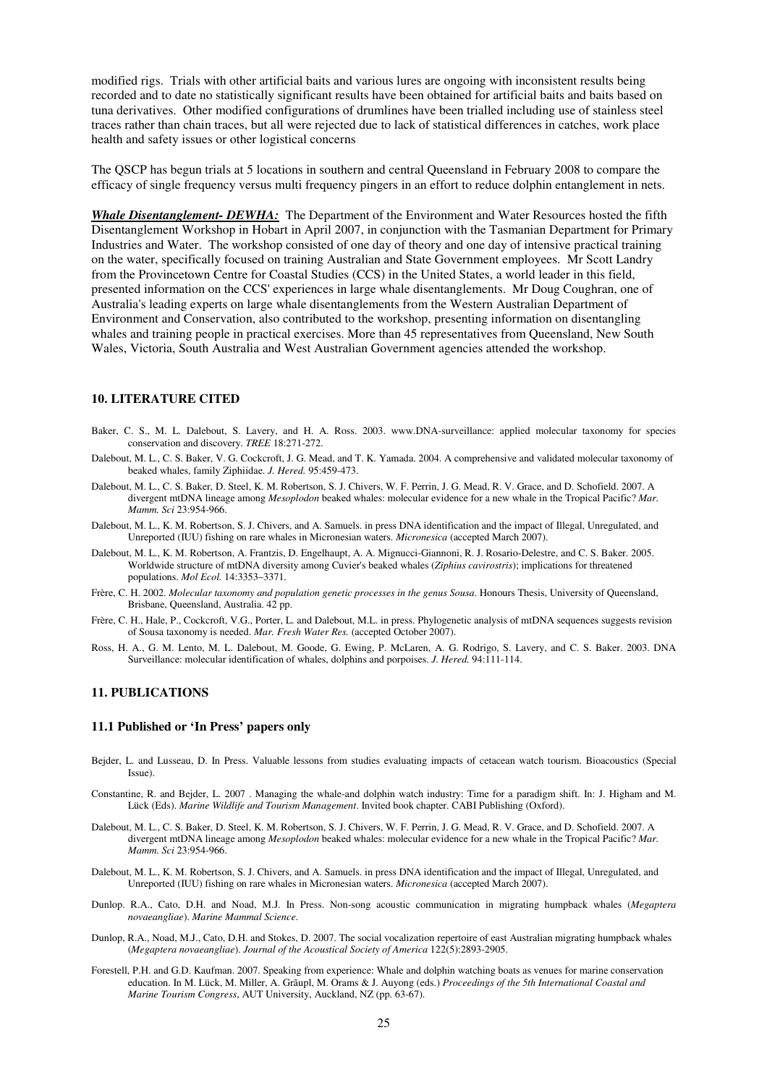modified rigs. Trials with other artificial baits and various lures are ongoing with inconsistent results being recorded and to date no statistically significant results have been obtained for artificial baits and baits based on tuna derivatives. Other modified configurations of drumlines have been trialled including use of stainless steel traces rather than chain traces, but all were rejected due to lack of statistical differences in catches, work place health and safety issues or other logistical concerns

The QSCP has begun trials at 5 locations in southern and central Queensland in February 2008 to compare the efficacy of single frequency versus multi frequency pingers in an effort to reduce dolphin entanglement in nets.

*Whale Disentanglement- DEWHA:*The Department of the Environment and Water Resources hosted the fifth Disentanglement Workshop in Hobart in April 2007, in conjunction with the Tasmanian Department for Primary Industries and Water. The workshop consisted of one day of theory and one day of intensive practical training on the water, specifically focused on training Australian and State Government employees. Mr Scott Landry from the Provincetown Centre for Coastal Studies (CCS) in the United States, a world leader in this field, presented information on the CCS' experiences in large whale disentanglements. Mr Doug Coughran, one of Australia's leading experts on large whale disentanglements from the Western Australian Department of Environment and Conservation, also contributed to the workshop, presenting information on disentangling whales and training people in practical exercises. More than 45 representatives from Queensland, New South Wales, Victoria, South Australia and West Australian Government agencies attended the workshop.

#### **10. LITERATURE CITED**

- Baker, C. S., M. L. Dalebout, S. Lavery, and H. A. Ross. 2003. www.DNA-surveillance: applied molecular taxonomy for species conservation and discovery. *TREE* 18:271-272.
- Dalebout, M. L., C. S. Baker, V. G. Cockcroft, J. G. Mead, and T. K. Yamada. 2004. A comprehensive and validated molecular taxonomy of beaked whales, family Ziphiidae. *J. Hered.* 95:459-473.
- Dalebout, M. L., C. S. Baker, D. Steel, K. M. Robertson, S. J. Chivers, W. F. Perrin, J. G. Mead, R. V. Grace, and D. Schofield. 2007. A divergent mtDNA lineage among *Mesoplodon* beaked whales: molecular evidence for a new whale in the Tropical Pacific? *Mar. Mamm. Sci* 23:954-966.
- Dalebout, M. L., K. M. Robertson, S. J. Chivers, and A. Samuels. in press DNA identification and the impact of Illegal, Unregulated, and Unreported (IUU) fishing on rare whales in Micronesian waters. *Micronesica* (accepted March 2007).
- Dalebout, M. L., K. M. Robertson, A. Frantzis, D. Engelhaupt, A. A. Mignucci-Giannoni, R. J. Rosario-Delestre, and C. S. Baker. 2005. Worldwide structure of mtDNA diversity among Cuvier's beaked whales (*Ziphius cavirostris*); implications for threatened populations. *Mol Ecol.* 14:3353–3371.
- Frère, C. H. 2002. *Molecular taxonomy and population genetic processes in the genus Sousa*. Honours Thesis, University of Queensland, Brisbane, Queensland, Australia. 42 pp.
- Frère, C. H., Hale, P., Cockcroft, V.G., Porter, L. and Dalebout, M.L. in press. Phylogenetic analysis of mtDNA sequences suggests revision of Sousa taxonomy is needed. *Mar. Fresh Water Res.* (accepted October 2007).
- Ross, H. A., G. M. Lento, M. L. Dalebout, M. Goode, G. Ewing, P. McLaren, A. G. Rodrigo, S. Lavery, and C. S. Baker. 2003. DNA Surveillance: molecular identification of whales, dolphins and porpoises. *J. Hered.* 94:111-114.

#### **11. PUBLICATIONS**

#### **11.1 Published or 'In Press' papers only**

- Bejder, L. and Lusseau, D. In Press. Valuable lessons from studies evaluating impacts of cetacean watch tourism. Bioacoustics (Special Issue).
- Constantine, R. and Bejder, L. 2007 . Managing the whale-and dolphin watch industry: Time for a paradigm shift. In: J. Higham and M. Lück (Eds). *Marine Wildlife and Tourism Management*. Invited book chapter. CABI Publishing (Oxford).
- Dalebout, M. L., C. S. Baker, D. Steel, K. M. Robertson, S. J. Chivers, W. F. Perrin, J. G. Mead, R. V. Grace, and D. Schofield. 2007. A divergent mtDNA lineage among *Mesoplodon* beaked whales: molecular evidence for a new whale in the Tropical Pacific? *Mar. Mamm. Sci* 23:954-966.
- Dalebout, M. L., K. M. Robertson, S. J. Chivers, and A. Samuels. in press DNA identification and the impact of Illegal, Unregulated, and Unreported (IUU) fishing on rare whales in Micronesian waters. *Micronesica* (accepted March 2007).
- Dunlop. R.A., Cato, D.H. and Noad, M.J. In Press. Non-song acoustic communication in migrating humpback whales (*Megaptera novaeangliae*). *Marine Mammal Science*.
- Dunlop, R.A., Noad, M.J., Cato, D.H. and Stokes, D. 2007. The social vocalization repertoire of east Australian migrating humpback whales (*Megaptera novaeangliae*). *Journal of the Acoustical Society of America* 122(5):2893-2905.
- Forestell, P.H. and G.D. Kaufman. 2007. Speaking from experience: Whale and dolphin watching boats as venues for marine conservation education. In M. Lück, M. Miller, A. Grãupl, M. Orams & J. Auyong (eds.) *Proceedings of the 5th International Coastal and Marine Tourism Congress*, AUT University, Auckland, NZ (pp. 63-67).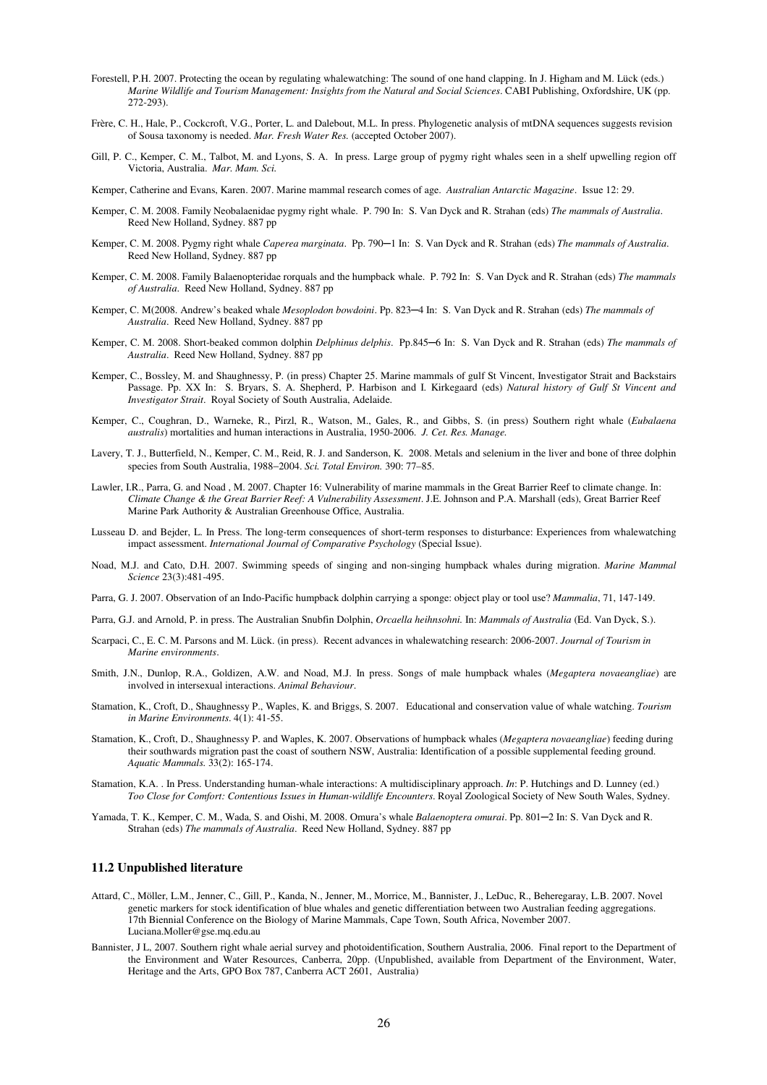- Forestell, P.H. 2007. Protecting the ocean by regulating whalewatching: The sound of one hand clapping. In J. Higham and M. Lück (eds.) *Marine Wildlife and Tourism Management: Insights from the Natural and Social Sciences*. CABI Publishing, Oxfordshire, UK (pp. 272-293).
- Frère, C. H., Hale, P., Cockcroft, V.G., Porter, L. and Dalebout, M.L. In press. Phylogenetic analysis of mtDNA sequences suggests revision of Sousa taxonomy is needed. *Mar. Fresh Water Res.* (accepted October 2007).
- Gill, P. C., Kemper, C. M., Talbot, M. and Lyons, S. A. In press. Large group of pygmy right whales seen in a shelf upwelling region off Victoria, Australia. *Mar. Mam. Sci.*

Kemper, Catherine and Evans, Karen. 2007. Marine mammal research comes of age. *Australian Antarctic Magazine*. Issue 12: 29.

- Kemper, C. M. 2008. Family Neobalaenidae pygmy right whale. P. 790 In: S. Van Dyck and R. Strahan (eds) *The mammals of Australia*. Reed New Holland, Sydney. 887 pp
- Kemper, C. M. 2008. Pygmy right whale *Caperea marginata*. Pp. 790─1 In: S. Van Dyck and R. Strahan (eds) *The mammals of Australia*. Reed New Holland, Sydney. 887 pp
- Kemper, C. M. 2008. Family Balaenopteridae rorquals and the humpback whale. P. 792 In: S. Van Dyck and R. Strahan (eds) *The mammals of Australia*. Reed New Holland, Sydney. 887 pp
- Kemper, C. M(2008. Andrew's beaked whale *Mesoplodon bowdoini*. Pp. 823─4 In: S. Van Dyck and R. Strahan (eds) *The mammals of Australia*. Reed New Holland, Sydney. 887 pp
- Kemper, C. M. 2008. Short-beaked common dolphin *Delphinus delphis*. Pp.845–6 In: S. Van Dyck and R. Strahan (eds) The mammals of *Australia*. Reed New Holland, Sydney. 887 pp
- Kemper, C., Bossley, M. and Shaughnessy, P. (in press) Chapter 25. Marine mammals of gulf St Vincent, Investigator Strait and Backstairs Passage. Pp. XX In: S. Bryars, S. A. Shepherd, P. Harbison and I. Kirkegaard (eds) *Natural history of Gulf St Vincent and Investigator Strait*. Royal Society of South Australia, Adelaide.
- Kemper, C., Coughran, D., Warneke, R., Pirzl, R., Watson, M., Gales, R., and Gibbs, S. (in press) Southern right whale (*Eubalaena australis*) mortalities and human interactions in Australia, 1950-2006. *J. Cet. Res. Manage.*
- Lavery, T. J., Butterfield, N., Kemper, C. M., Reid, R. J. and Sanderson, K. 2008. Metals and selenium in the liver and bone of three dolphin species from South Australia, 1988−2004. *Sci. Total Environ.* 390: 77–85.
- Lawler, I.R., Parra, G. and Noad , M. 2007. Chapter 16: Vulnerability of marine mammals in the Great Barrier Reef to climate change. In: *Climate Change & the Great Barrier Reef: A Vulnerability Assessment*. J.E. Johnson and P.A. Marshall (eds), Great Barrier Reef Marine Park Authority & Australian Greenhouse Office, Australia.
- Lusseau D. and Bejder, L. In Press. The long-term consequences of short-term responses to disturbance: Experiences from whalewatching impact assessment. *International Journal of Comparative Psychology* (Special Issue).
- Noad, M.J. and Cato, D.H. 2007. Swimming speeds of singing and non-singing humpback whales during migration. *Marine Mammal Science* 23(3):481-495.
- Parra, G. J. 2007. Observation of an Indo-Pacific humpback dolphin carrying a sponge: object play or tool use? *Mammalia*, 71, 147-149.
- Parra, G.J. and Arnold, P. in press. The Australian Snubfin Dolphin, *Orcaella heihnsohni.* In: *Mammals of Australia* (Ed. Van Dyck, S.).
- Scarpaci, C., E. C. M. Parsons and M. Lück. (in press). Recent advances in whalewatching research: 2006-2007. *Journal of Tourism in Marine environments*.
- Smith, J.N., Dunlop, R.A., Goldizen, A.W. and Noad, M.J. In press. Songs of male humpback whales (*Megaptera novaeangliae*) are involved in intersexual interactions. *Animal Behaviour*.
- Stamation, K., Croft, D., Shaughnessy P., Waples, K. and Briggs, S. 2007. Educational and conservation value of whale watching. *Tourism in Marine Environments*. 4(1): 41-55.
- Stamation, K., Croft, D., Shaughnessy P. and Waples, K. 2007. Observations of humpback whales (*Megaptera novaeangliae*) feeding during their southwards migration past the coast of southern NSW, Australia: Identification of a possible supplemental feeding ground. *Aquatic Mammals.* 33(2): 165-174.
- Stamation, K.A. . In Press. Understanding human-whale interactions: A multidisciplinary approach. *In*: P. Hutchings and D. Lunney (ed.) *Too Close for Comfort: Contentious Issues in Human-wildlife Encounters*. Royal Zoological Society of New South Wales, Sydney.
- Yamada, T. K., Kemper, C. M., Wada, S. and Oishi, M. 2008. Omura's whale *Balaenoptera omurai*. Pp. 801─2 In: S. Van Dyck and R. Strahan (eds) *The mammals of Australia*. Reed New Holland, Sydney. 887 pp

#### **11.2 Unpublished literature**

- Attard, C., Möller, L.M., Jenner, C., Gill, P., Kanda, N., Jenner, M., Morrice, M., Bannister, J., LeDuc, R., Beheregaray, L.B. 2007. Novel genetic markers for stock identification of blue whales and genetic differentiation between two Australian feeding aggregations. 17th Biennial Conference on the Biology of Marine Mammals, Cape Town, South Africa, November 2007. Luciana.Moller@gse.mq.edu.au
- Bannister, J L, 2007. Southern right whale aerial survey and photoidentification, Southern Australia, 2006. Final report to the Department of the Environment and Water Resources, Canberra, 20pp. (Unpublished, available from Department of the Environment, Water, Heritage and the Arts, GPO Box 787, Canberra ACT 2601, Australia)